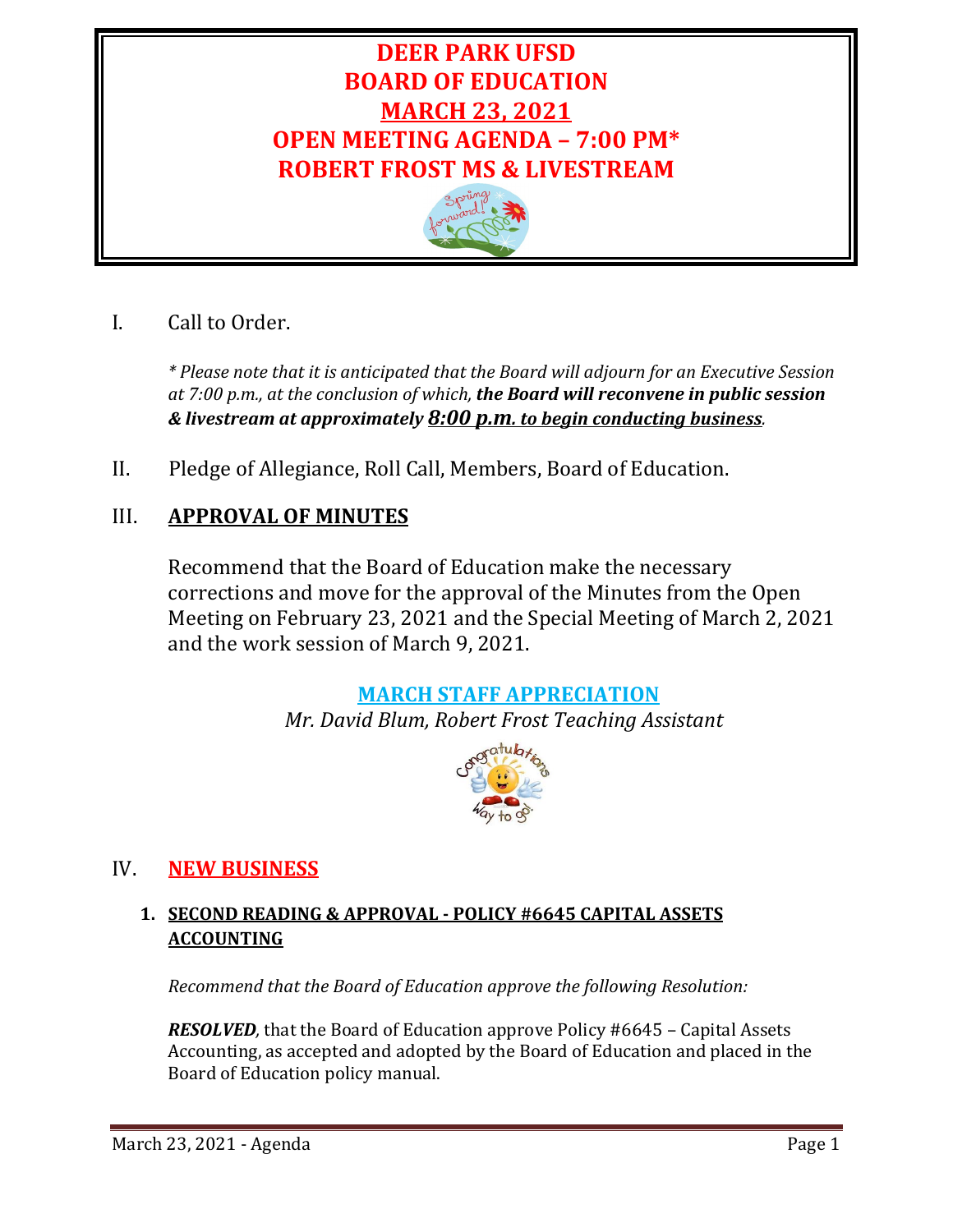# **DEER PARK UFSD BOARD OF EDUCATION MARCH 23, 2021 OPEN MEETING AGENDA – 7:00 PM\* ROBERT FROST MS & LIVESTREAM**



# I. Call to Order.

*\* Please note that it is anticipated that the Board will adjourn for an Executive Session at 7:00 p.m., at the conclusion of which, the Board will reconvene in public session & livestream at approximately 8:00 p.m. to begin conducting business.* 

II. Pledge of Allegiance, Roll Call, Members, Board of Education.

# III. **APPROVAL OF MINUTES**

Recommend that the Board of Education make the necessary corrections and move for the approval of the Minutes from the Open Meeting on February 23, 2021 and the Special Meeting of March 2, 2021 and the work session of March 9, 2021.

## **MARCH STAFF APPRECIATION**

*Mr. David Blum, Robert Frost Teaching Assistant*



## IV. **NEW BUSINESS**

## **1. SECOND READING & APPROVAL - POLICY #6645 CAPITAL ASSETS ACCOUNTING**

*Recommend that the Board of Education approve the following Resolution:*

*RESOLVED,* that the Board of Education approve Policy #6645 – Capital Assets Accounting, as accepted and adopted by the Board of Education and placed in the Board of Education policy manual.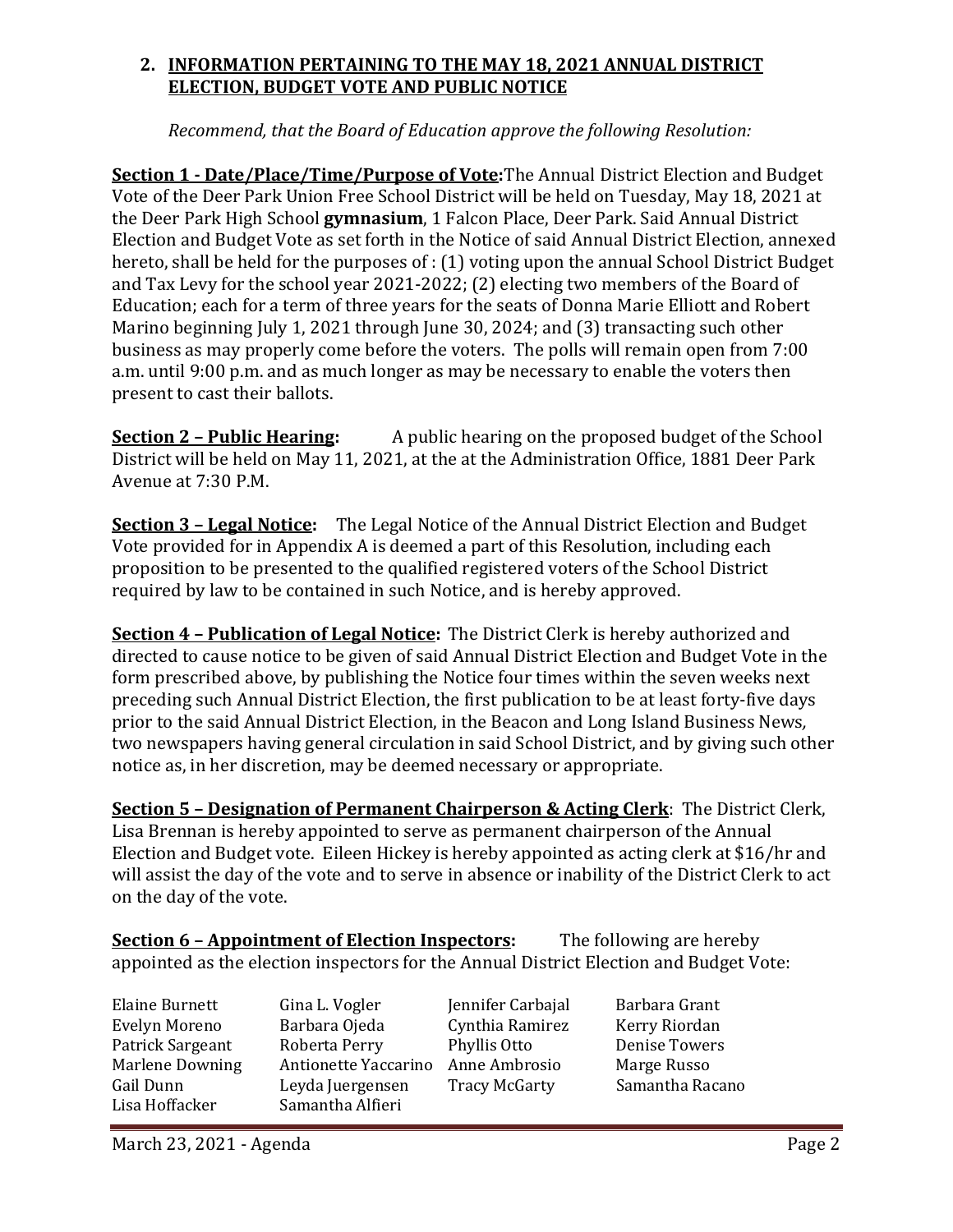## **2. INFORMATION PERTAINING TO THE MAY 18, 2021 ANNUAL DISTRICT ELECTION, BUDGET VOTE AND PUBLIC NOTICE**

*Recommend, that the Board of Education approve the following Resolution:*

**Section 1 - Date/Place/Time/Purpose of Vote:**The Annual District Election and Budget Vote of the Deer Park Union Free School District will be held on Tuesday, May 18, 2021 at the Deer Park High School **gymnasium**, 1 Falcon Place, Deer Park. Said Annual District Election and Budget Vote as set forth in the Notice of said Annual District Election, annexed hereto, shall be held for the purposes of : (1) voting upon the annual School District Budget and Tax Levy for the school year 2021-2022; (2) electing two members of the Board of Education; each for a term of three years for the seats of Donna Marie Elliott and Robert Marino beginning July 1, 2021 through June 30, 2024; and (3) transacting such other business as may properly come before the voters. The polls will remain open from 7:00 a.m. until 9:00 p.m. and as much longer as may be necessary to enable the voters then present to cast their ballots.

**Section 2 – Public Hearing:** A public hearing on the proposed budget of the School District will be held on May 11, 2021, at the at the Administration Office, 1881 Deer Park Avenue at 7:30 P.M.

**Section 3 – Legal Notice:** The Legal Notice of the Annual District Election and Budget Vote provided for in Appendix A is deemed a part of this Resolution, including each proposition to be presented to the qualified registered voters of the School District required by law to be contained in such Notice, and is hereby approved.

**Section 4 – Publication of Legal Notice:** The District Clerk is hereby authorized and directed to cause notice to be given of said Annual District Election and Budget Vote in the form prescribed above, by publishing the Notice four times within the seven weeks next preceding such Annual District Election, the first publication to be at least forty-five days prior to the said Annual District Election, in the Beacon and Long Island Business News*,*  two newspapers having general circulation in said School District, and by giving such other notice as, in her discretion, may be deemed necessary or appropriate.

**Section 5 – Designation of Permanent Chairperson & Acting Clerk**: The District Clerk, Lisa Brennan is hereby appointed to serve as permanent chairperson of the Annual Election and Budget vote. Eileen Hickey is hereby appointed as acting clerk at \$16/hr and will assist the day of the vote and to serve in absence or inability of the District Clerk to act on the day of the vote.

**Section 6 – Appointment of Election Inspectors:** The following are hereby appointed as the election inspectors for the Annual District Election and Budget Vote:

Elaine Burnett Gina L. Vogler Jennifer Carbajal Barbara Grant<br>Evelyn Moreno Barbara Ojeda Cynthia Ramirez Kerry Riordan Evelyn Moreno Barbara Ojeda Cynthia Ramirez Kerry Riordan Patrick Sargeant Roberta Perry Phyllis Otto Denise Tower<br>
Marlene Downing Antionette Yaccarino Anne Ambrosio Marge Russo Marlene Downing Antionette Yaccarino Anne Ambrosio Marge Russo<br>
Gail Dunn Leyda Juergensen Tracy McGarty Samantha Racano Gail Dunn Leyda Juergensen<br>Lisa Hoffacker Samantha Alfieri Samantha Alfieri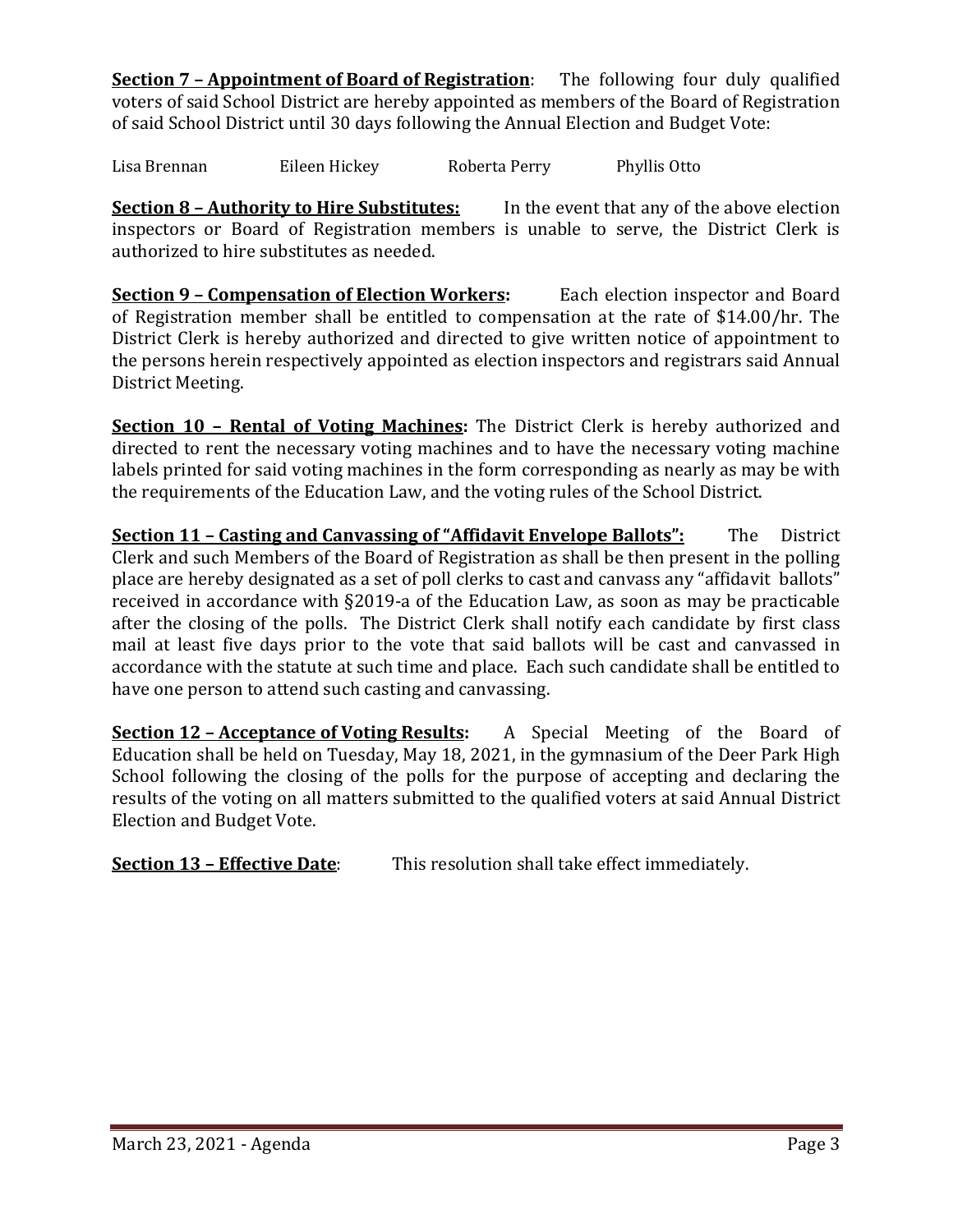**Section 7 – Appointment of Board of Registration**: The following four duly qualified voters of said School District are hereby appointed as members of the Board of Registration of said School District until 30 days following the Annual Election and Budget Vote:

Lisa Brennan Eileen Hickey Roberta Perry Phyllis Otto

**Section 8 – Authority to Hire Substitutes:** In the event that any of the above election inspectors or Board of Registration members is unable to serve, the District Clerk is authorized to hire substitutes as needed.

**Section 9 – Compensation of Election Workers:** Each election inspector and Board of Registration member shall be entitled to compensation at the rate of \$14.00/hr. The District Clerk is hereby authorized and directed to give written notice of appointment to the persons herein respectively appointed as election inspectors and registrars said Annual District Meeting.

**Section 10 – Rental of Voting Machines:** The District Clerk is hereby authorized and directed to rent the necessary voting machines and to have the necessary voting machine labels printed for said voting machines in the form corresponding as nearly as may be with the requirements of the Education Law, and the voting rules of the School District.

**<u>Section 11 – Casting and Canvassing of "Affidavit Envelope Ballots":</u> The District** Clerk and such Members of the Board of Registration as shall be then present in the polling place are hereby designated as a set of poll clerks to cast and canvass any "affidavit ballots" received in accordance with §2019-a of the Education Law, as soon as may be practicable after the closing of the polls. The District Clerk shall notify each candidate by first class mail at least five days prior to the vote that said ballots will be cast and canvassed in accordance with the statute at such time and place. Each such candidate shall be entitled to have one person to attend such casting and canvassing.

**Section 12 – Acceptance of Voting Results:** A Special Meeting of the Board of Education shall be held on Tuesday, May 18, 2021, in the gymnasium of the Deer Park High School following the closing of the polls for the purpose of accepting and declaring the results of the voting on all matters submitted to the qualified voters at said Annual District Election and Budget Vote.

**Section 13 – Effective Date**: This resolution shall take effect immediately.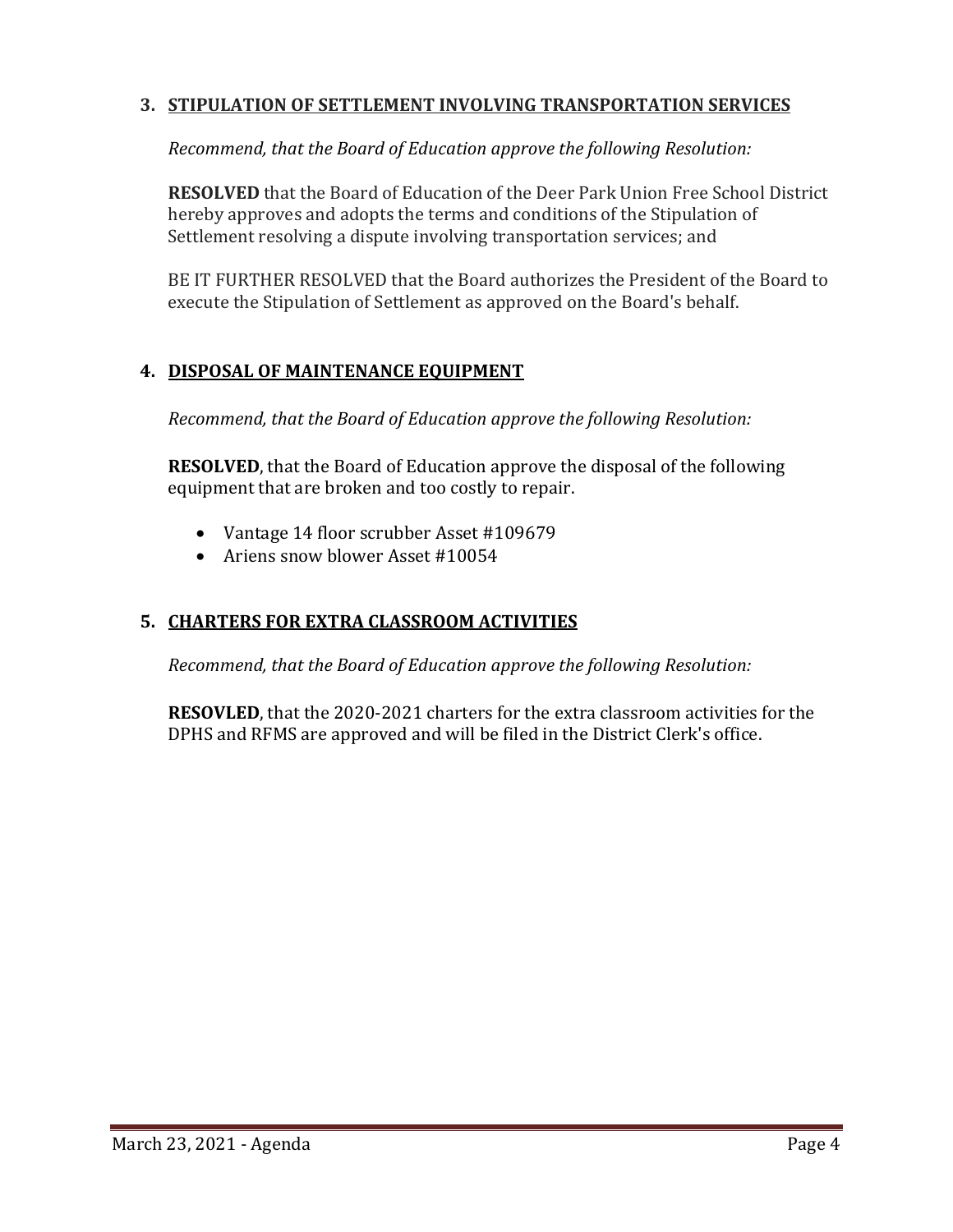## **3. STIPULATION OF SETTLEMENT INVOLVING TRANSPORTATION SERVICES**

*Recommend, that the Board of Education approve the following Resolution:*

**RESOLVED** that the Board of Education of the Deer Park Union Free School District hereby approves and adopts the terms and conditions of the Stipulation of Settlement resolving a dispute involving transportation services; and

BE IT FURTHER RESOLVED that the Board authorizes the President of the Board to execute the Stipulation of Settlement as approved on the Board's behalf.

## **4. DISPOSAL OF MAINTENANCE EQUIPMENT**

*Recommend, that the Board of Education approve the following Resolution:*

**RESOLVED**, that the Board of Education approve the disposal of the following equipment that are broken and too costly to repair.

- Vantage 14 floor scrubber Asset #109679
- Ariens snow blower Asset #10054

## **5. CHARTERS FOR EXTRA CLASSROOM ACTIVITIES**

*Recommend, that the Board of Education approve the following Resolution:*

**RESOVLED**, that the 2020-2021 charters for the extra classroom activities for the DPHS and RFMS are approved and will be filed in the District Clerk's office.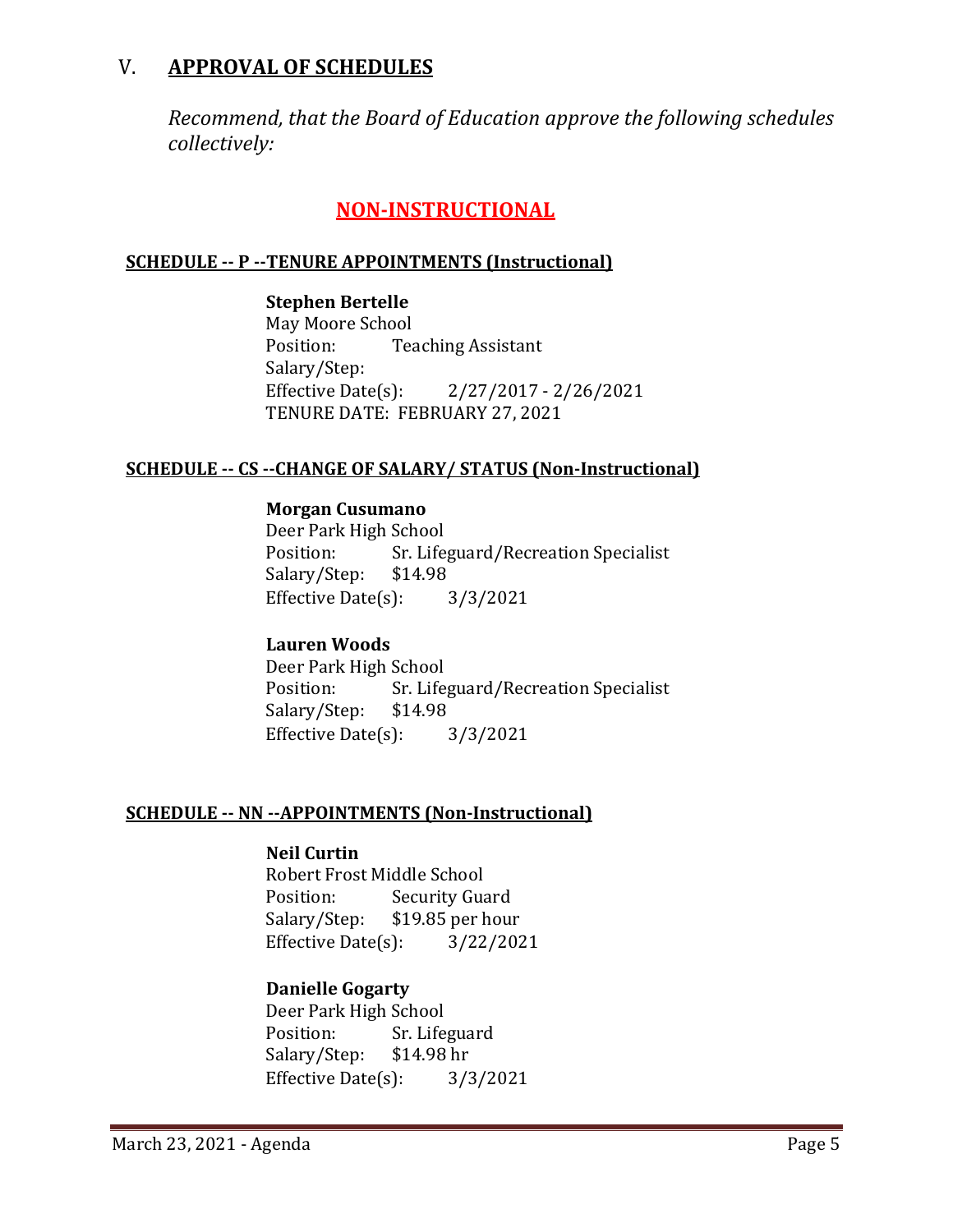## V. **APPROVAL OF SCHEDULES**

*Recommend, that the Board of Education approve the following schedules collectively:*

## **NON-INSTRUCTIONAL**

#### **SCHEDULE -- P --TENURE APPOINTMENTS (Instructional)**

**Stephen Bertelle** May Moore School<br>Position: Tea **Teaching Assistant** Salary/Step:<br>Effective Date(s):

Effective Date(s): 2/27/2017 - 2/26/2021 TENURE DATE: FEBRUARY 27, 2021

#### **SCHEDULE -- CS --CHANGE OF SALARY/ STATUS (Non-Instructional)**

#### **Morgan Cusumano**

Deer Park High School<br>Position: Sr. Life Sr. Lifeguard/Recreation Specialist<br>\$14.98 Salary/Step: Effective Date(s): 3/3/2021

#### **Lauren Woods**

Deer Park High School<br>Position: Sr. Life Sr. Lifeguard/Recreation Specialist<br>\$14.98 Salary/Step: \$14.98<br>Effective Date(s): 3/3/2021 Effective Date $(s)$ :

#### **SCHEDULE -- NN --APPOINTMENTS (Non-Instructional)**

#### **Neil Curtin**

Robert Frost Middle School<br>Position: Security Gua Position: Security Guard<br>Salary/Step: \$19.85 per hous  $\{19.85 \text{ per hour}\}$ :  $3/22/2021$ Effective Date $(s)$ :

#### **Danielle Gogarty**

Deer Park High School<br>Position: Sr. Life Sr. Lifeguard<br>\$14.98 hr Salary/Step: \$14.98 hr<br>Effective Date(s): 3/3/2021 Effective Date $(s)$ :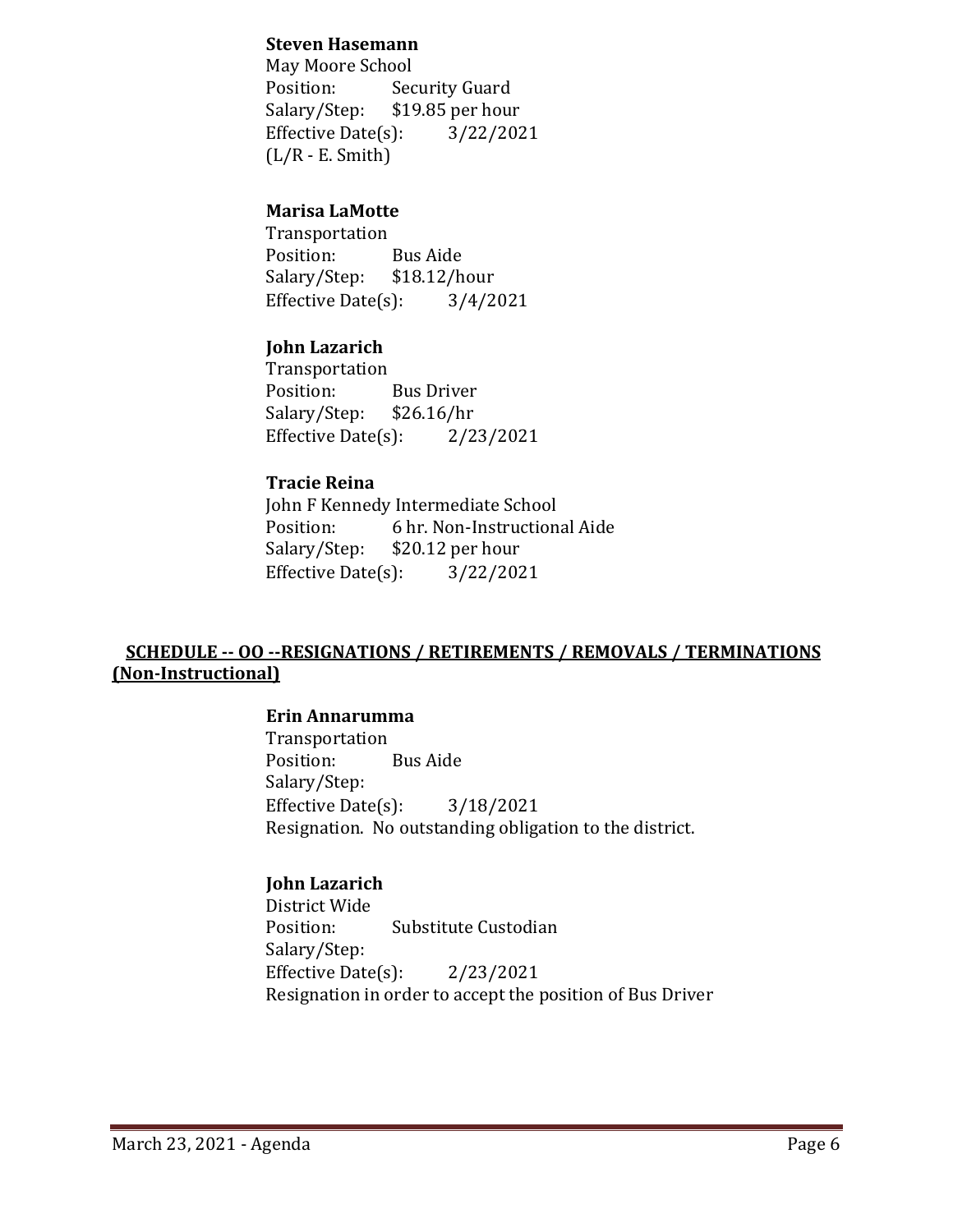#### **Steven Hasemann**

May Moore School<br>Position: Sec Position: Security Guard<br>Salary/Step: \$19.85 per hour  $$19.85$  per hour<br>(i):  $3/22/2021$ Effective Date $(s)$ :  $(L/R - E. Smith)$ 

## **Marisa LaMotte**

Transportation Position: Bus Aide<br>Salary/Step: \$18.12/hour Salary/Step: \$18.12/hour<br>Effective Date(s): 3/4/2021 Effective Date $(s)$ :

## **John Lazarich**

Transportation<br>Position: Bus Driver<br>\$26.16/hr Salary/Step: \$26.16/hr<br>Effective Date(s): 2/23/2021 Effective Date $(s)$ :

#### **Tracie Reina**

John F Kennedy Intermediate School<br>Position: 6 hr. Non-Instruction Position: 6 hr. Non-Instructional Aide<br>Salary/Step: \$20.12 per hour \$20.12 per hour Effective Date(s): 3/22/2021

## **SCHEDULE -- OO --RESIGNATIONS / RETIREMENTS / REMOVALS / TERMINATIONS (Non-Instructional)**

#### **Erin Annarumma**

Transportation Position: Bus Aide Salary/Step: Effective Date(s): 3/18/2021 Resignation. No outstanding obligation to the district.

## **John Lazarich**

District Wide Substitute Custodian Salary/Step: Effective Date(s): 2/23/2021 Resignation in order to accept the position of Bus Driver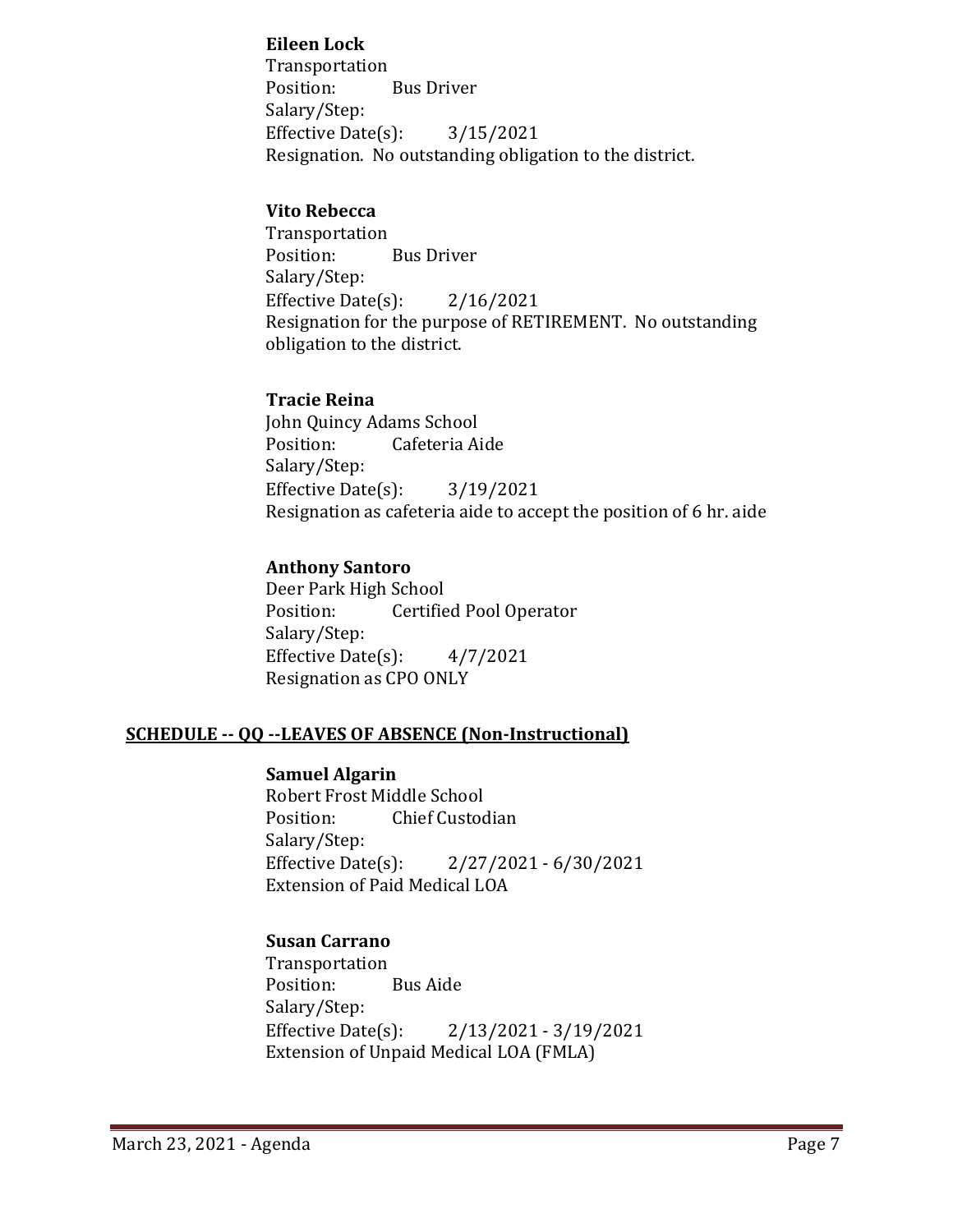#### **Eileen Lock**

Transportation **Bus Driver** Salary/Step: Effective Date(s): 3/15/2021 Resignation. No outstanding obligation to the district.

#### **Vito Rebecca**

Transportation **Bus Driver** Salary/Step: Effective Date(s): 2/16/2021 Resignation for the purpose of RETIREMENT. No outstanding obligation to the district.

#### **Tracie Reina**

John Quincy Adams School<br>Position: Cafeteria Ai Cafeteria Aide Salary/Step: Effective Date(s): 3/19/2021 Resignation as cafeteria aide to accept the position of 6 hr. aide

## **Anthony Santoro**

Deer Park High School<br>Position: Certifie Certified Pool Operator Salary/Step: Effective Date(s):  $4/7/2021$ Resignation as CPO ONLY

## **SCHEDULE -- QQ --LEAVES OF ABSENCE (Non-Instructional)**

#### **Samuel Algarin**

Robert Frost Middle School<br>Position: Chief Custoc Chief Custodian Salary/Step:<br>Effective Date(s): Effective Date(s): 2/27/2021 - 6/30/2021 Extension of Paid Medical LOA

## **Susan Carrano**

Transportation Position: Bus Aide Salary/Step:<br>Effective Date(s): Effective Date(s): 2/13/2021 - 3/19/2021 Extension of Unpaid Medical LOA (FMLA)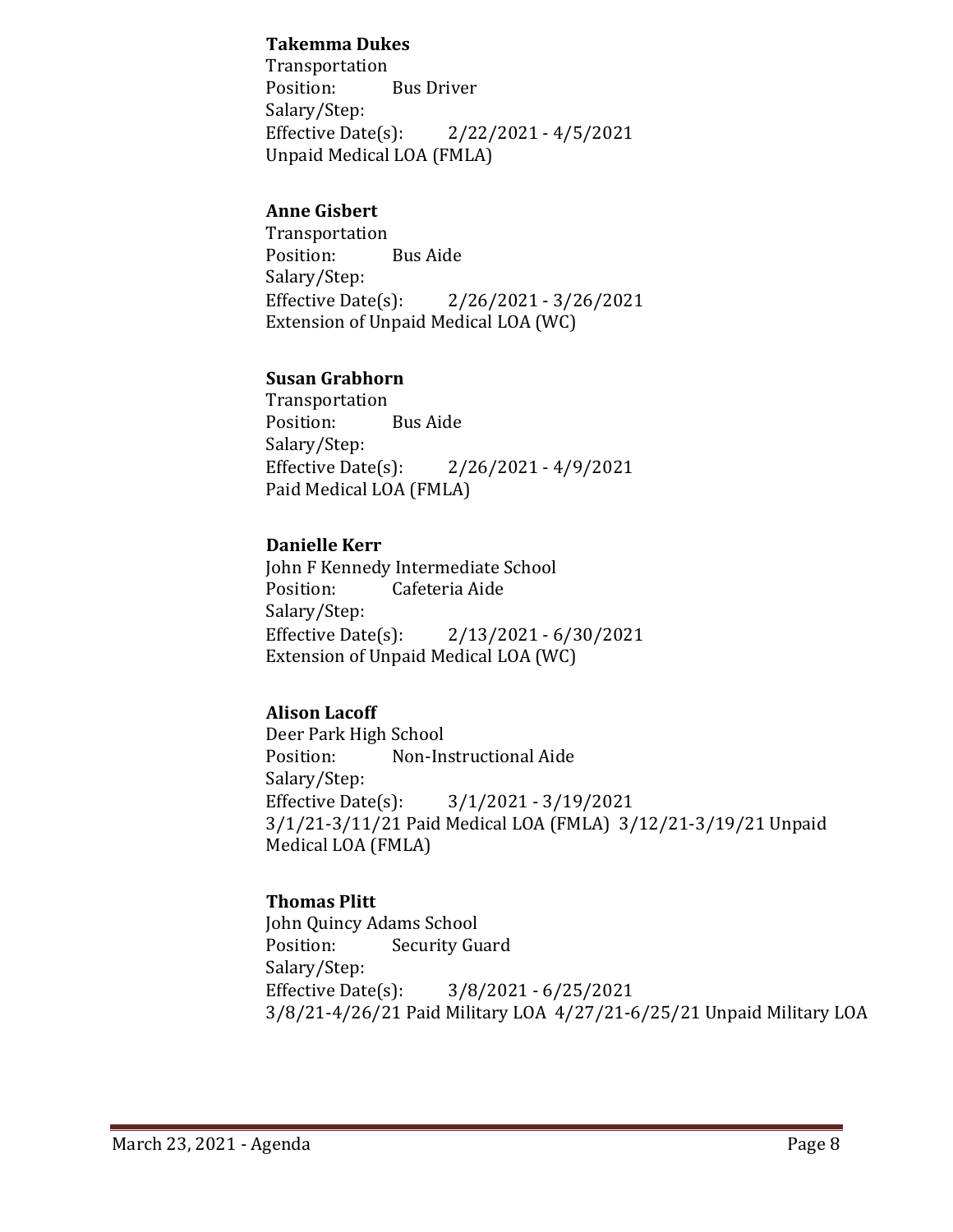### **Takemma Dukes**

Transportation<br>Position: **Bus Driver** Salary/Step:<br>Effective Date(s):  $2/22/2021 - 4/5/2021$ Unpaid Medical LOA (FMLA)

## **Anne Gisbert**

Transportation Position: Bus Aide Salary/Step:<br>Effective Date(s): Effective Date(s): 2/26/2021 - 3/26/2021 Extension of Unpaid Medical LOA (WC)

## **Susan Grabhorn**

Transportation Position: Bus Aide Salary/Step:<br>Effective Date(s):  $2/26/2021 - 4/9/2021$ Paid Medical LOA (FMLA)

## **Danielle Kerr**

John F Kennedy Intermediate School<br>Position: Cafeteria Aide Cafeteria Aide Salary/Step:<br>Effective Date(s): Effective Date(s): 2/13/2021 - 6/30/2021 Extension of Unpaid Medical LOA (WC)

## **Alison Lacoff**

Deer Park High School Non-Instructional Aide Salary/Step:<br>Effective Date(s): Effective Date(s): 3/1/2021 - 3/19/2021 3/1/21-3/11/21 Paid Medical LOA (FMLA) 3/12/21-3/19/21 Unpaid Medical LOA (FMLA)

## **Thomas Plitt**

John Quincy Adams School<br>Position: Security Gu **Security Guard** Salary/Step:<br>Effective Date(s): Effective Date(s): 3/8/2021 - 6/25/2021 3/8/21-4/26/21 Paid Military LOA 4/27/21-6/25/21 Unpaid Military LOA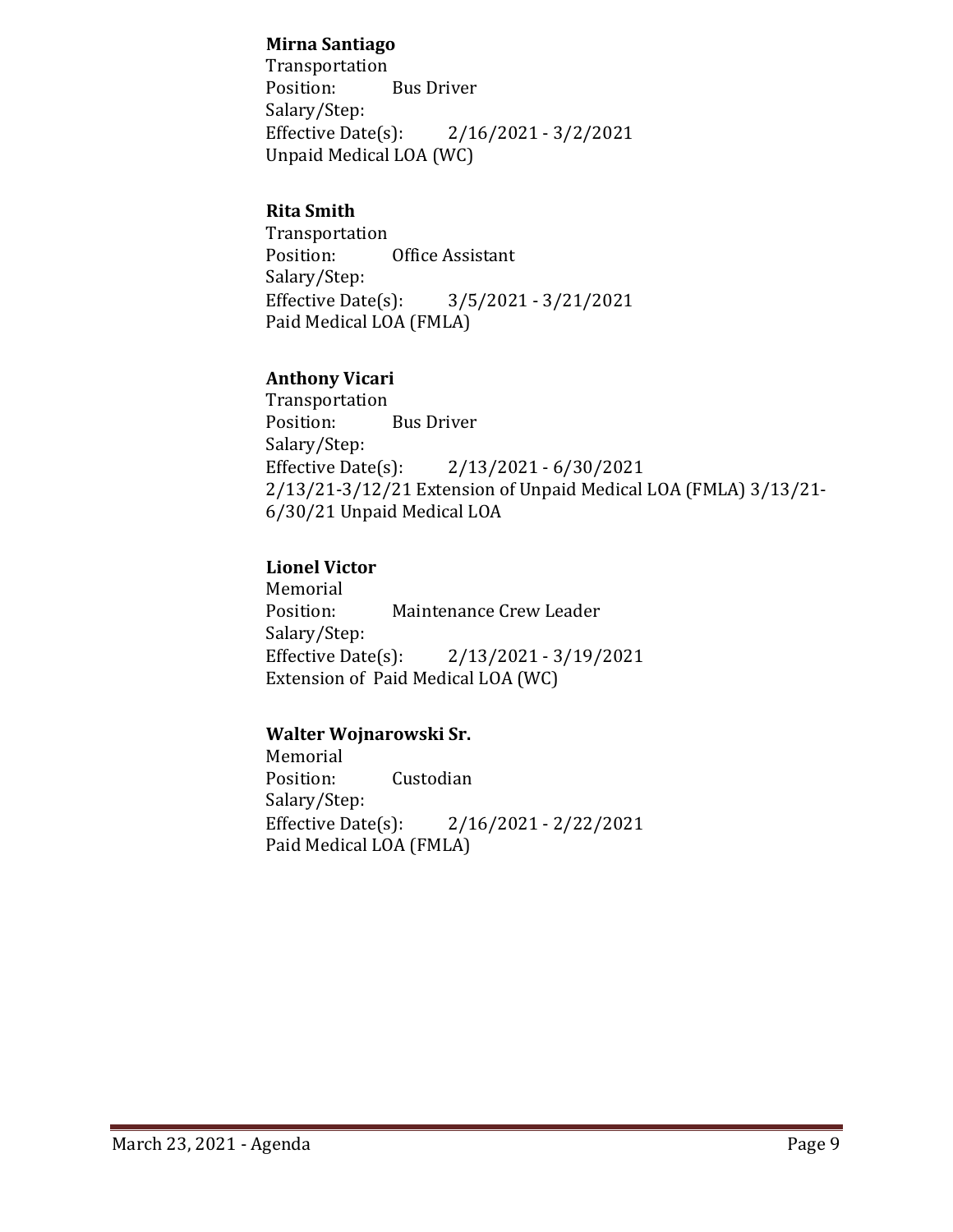## **Mirna Santiago**

Transportation<br>Position: **Bus Driver** Salary/Step:<br>Effective Date(s):  $2/16/2021 - 3/2/2021$ Unpaid Medical LOA (WC)

## **Rita Smith**

Transportation Office Assistant Salary/Step:<br>Effective Date(s): Effective Date(s): 3/5/2021 - 3/21/2021 Paid Medical LOA (FMLA)

## **Anthony Vicari**

Transportation<br>Position: **Bus Driver** Salary/Step:<br>Effective Date(s): Effective Date(s): 2/13/2021 - 6/30/2021 2/13/21-3/12/21 Extension of Unpaid Medical LOA (FMLA) 3/13/21- 6/30/21 Unpaid Medical LOA

## **Lionel Victor**

Memorial<br>Position: Maintenance Crew Leader Salary/Step:<br>Effective Date(s): Effective Date(s): 2/13/2021 - 3/19/2021 Extension of Paid Medical LOA (WC)

## **Walter Wojnarowski Sr.**

Memorial Position: Custodian Salary/Step:<br>Effective Date(s): Effective Date(s): 2/16/2021 - 2/22/2021 Paid Medical LOA (FMLA)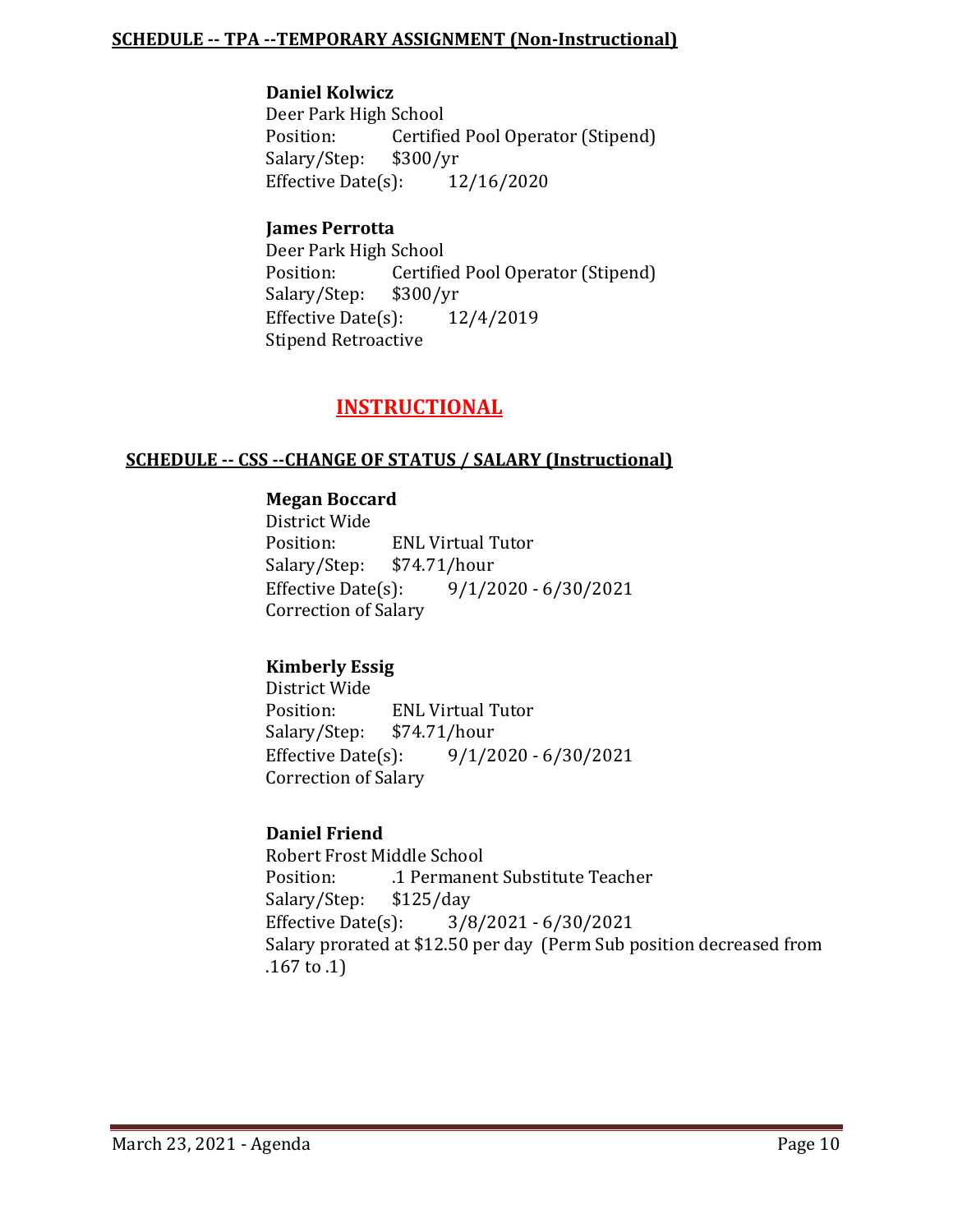#### **SCHEDULE -- TPA --TEMPORARY ASSIGNMENT (Non-Instructional)**

#### **Daniel Kolwicz**

Deer Park High School<br>Position: Certifie Certified Pool Operator (Stipend)<br>\$300/yr Salary/Step: \$300/yr<br>Effective Date(s): 12/16/2020 Effective Date $(s)$ :

#### **James Perrotta**

Deer Park High School<br>Position: Certifie Certified Pool Operator (Stipend)<br>\$300/yr Salary/Step: \$300/yr<br>Effective Date(s): 12/4/2019 Effective Date $(s)$ : Stipend Retroactive

## **INSTRUCTIONAL**

#### **SCHEDULE -- CSS --CHANGE OF STATUS / SALARY (Instructional)**

#### **Megan Boccard**

District Wide ENL Virtual Tutor<br>\$74.71/hour Salary/Step: \$74.57<br>Effective Date(s):  $9/1/2020 - 6/30/2021$ Correction of Salary

## **Kimberly Essig**

District Wide ENL Virtual Tutor<br>\$74.71/hour Salary/Step: \$7<br>Effective Date(s):  $9/1/2020 - 6/30/2021$ Correction of Salary

#### **Daniel Friend**

Robert Frost Middle School .1 Permanent Substitute Teacher<br>\$125/day Salary/Step: \$1<br>Effective Date(s): Effective Date(s): 3/8/2021 - 6/30/2021 Salary prorated at \$12.50 per day (Perm Sub position decreased from .167 to .1)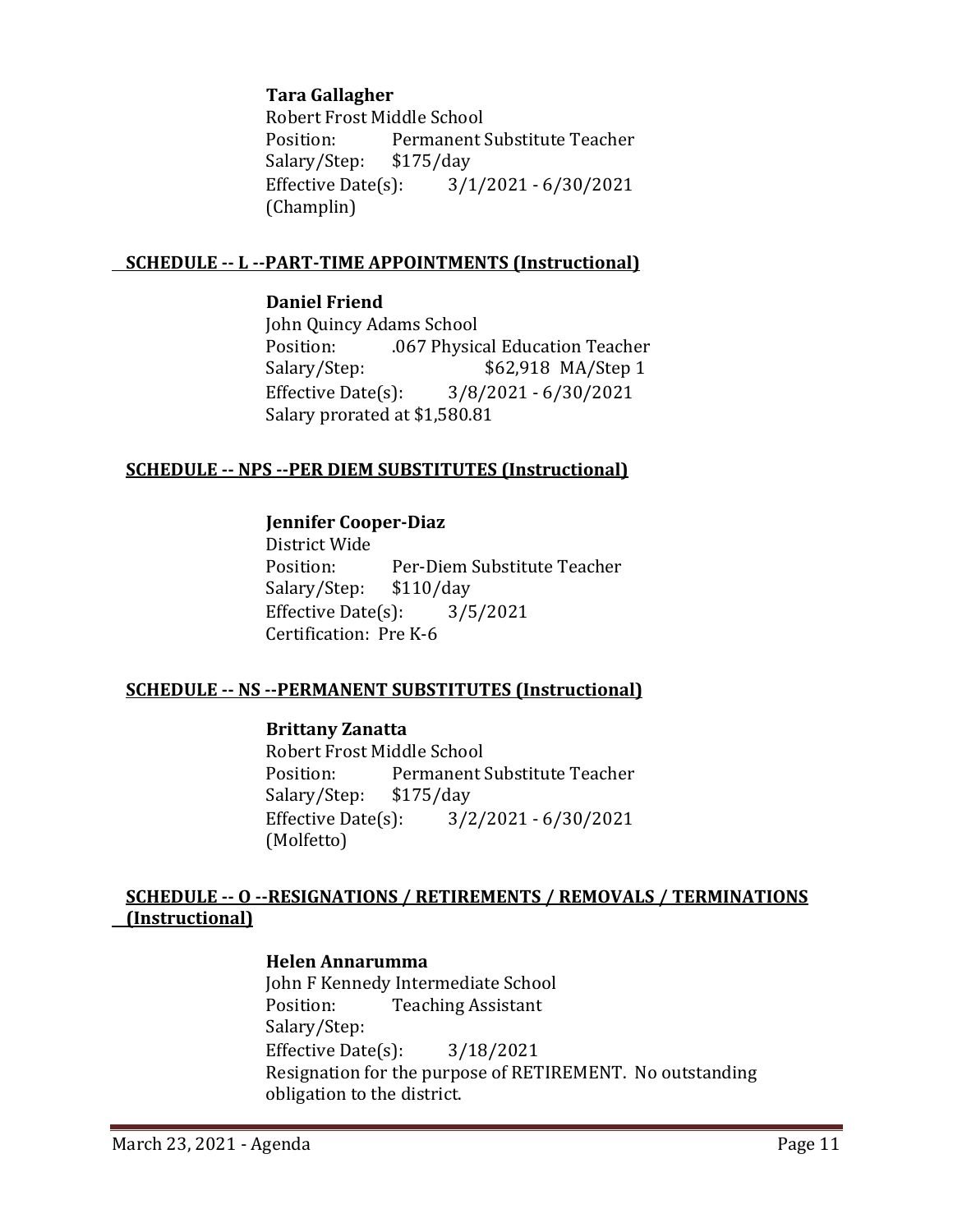#### **Tara Gallagher**

Robert Frost Middle School<br>Position: Permanent! Permanent Substitute Teacher<br>\$175/day Salary/Step: \$1<br>Effective Date(s):  $3/1/2021 - 6/30/2021$ (Champlin)

#### **SCHEDULE -- L --PART-TIME APPOINTMENTS (Instructional)**

#### **Daniel Friend**

John Quincy Adams School Position: .067 Physical Education Teacher<br>Salary/Step: .067 \$62,918 MA/Step 1 \$62,918 MA/Step 1 Effective Date(s): 3/8/2021 - 6/30/2021 Salary prorated at \$1,580.81

## **SCHEDULE -- NPS --PER DIEM SUBSTITUTES (Instructional)**

#### **Jennifer Cooper-Diaz**

District Wide Per-Diem Substitute Teacher Salary/Step: \$110/day Effective Date(s): 3/5/2021 Certification: Pre K-6

#### **SCHEDULE -- NS --PERMANENT SUBSTITUTES (Instructional)**

#### **Brittany Zanatta**

Robert Frost Middle School<br>Position: Permanent! Permanent Substitute Teacher<br>\$175/day Salary/Step: Effective Date(s): 3/2/2021 - 6/30/2021 (Molfetto)

## **SCHEDULE -- O --RESIGNATIONS / RETIREMENTS / REMOVALS / TERMINATIONS (Instructional)**

#### **Helen Annarumma**

John F Kennedy Intermediate School<br>Position: Teaching Assistant **Teaching Assistant** Salary/Step: Effective Date(s): 3/18/2021 Resignation for the purpose of RETIREMENT. No outstanding obligation to the district.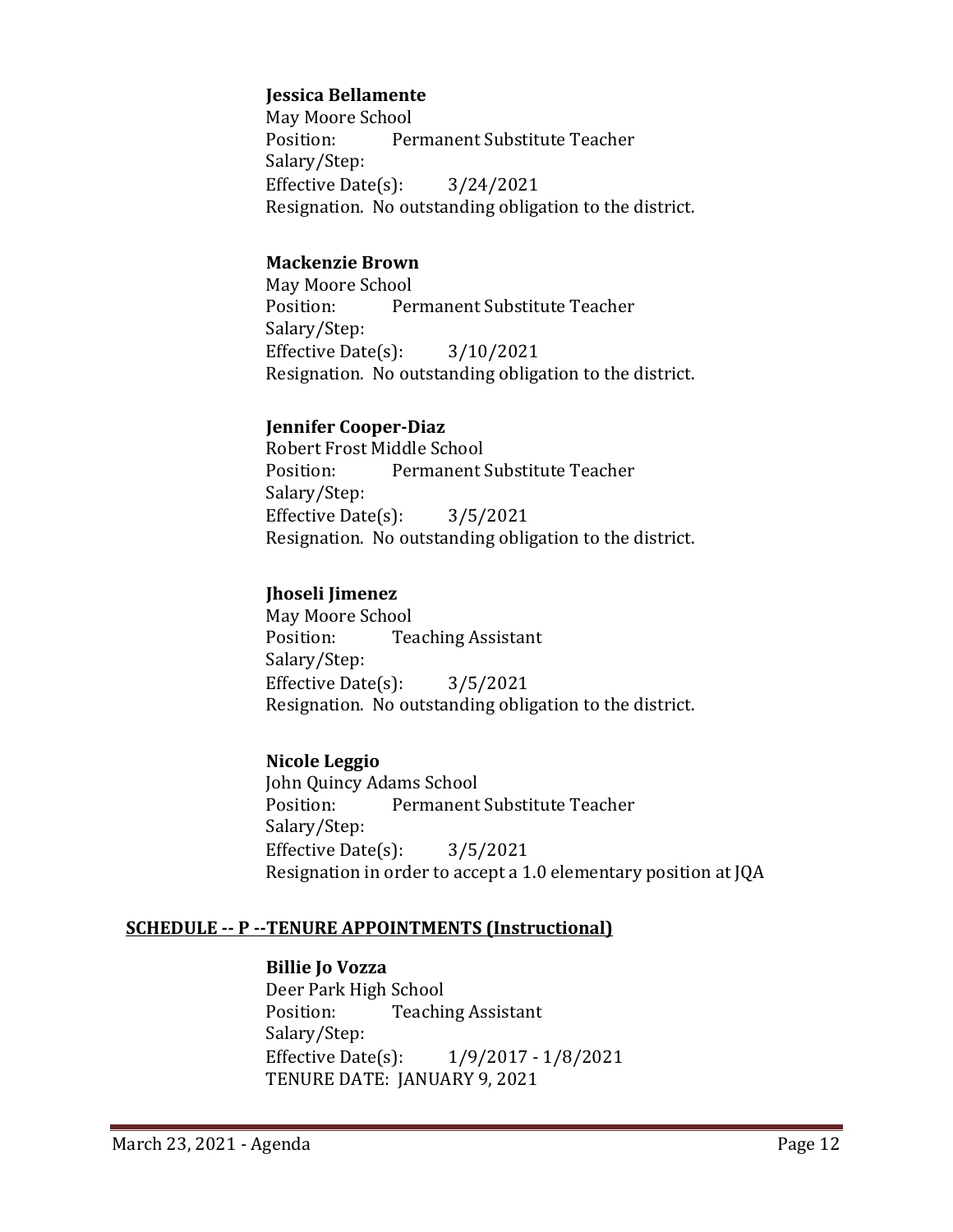#### **Jessica Bellamente**

May Moore School<br>Position: Per Permanent Substitute Teacher Salary/Step: Effective Date(s): 3/24/2021 Resignation. No outstanding obligation to the district.

#### **Mackenzie Brown**

May Moore School<br>Position: Per Permanent Substitute Teacher Salary/Step: Effective Date(s): 3/10/2021 Resignation. No outstanding obligation to the district.

## **Jennifer Cooper-Diaz**

Robert Frost Middle School<br>Position: Permanent ! Permanent Substitute Teacher Salary/Step: Effective Date(s): 3/5/2021 Resignation. No outstanding obligation to the district.

## **Jhoseli Jimenez**

May Moore School<br>Position: Tea **Teaching Assistant** Salary/Step: Effective Date $(s)$ :  $3/5/2021$ Resignation. No outstanding obligation to the district.

## **Nicole Leggio**

John Quincy Adams School<br>Position: Permanent Permanent Substitute Teacher Salary/Step: Effective Date(s): 3/5/2021 Resignation in order to accept a 1.0 elementary position at JQA

## **SCHEDULE -- P --TENURE APPOINTMENTS (Instructional)**

## **Billie Jo Vozza**

Deer Park High School **Teaching Assistant** Salary/Step:<br>Effective Date(s):  $1/9/2017 - 1/8/2021$ TENURE DATE: JANUARY 9, 2021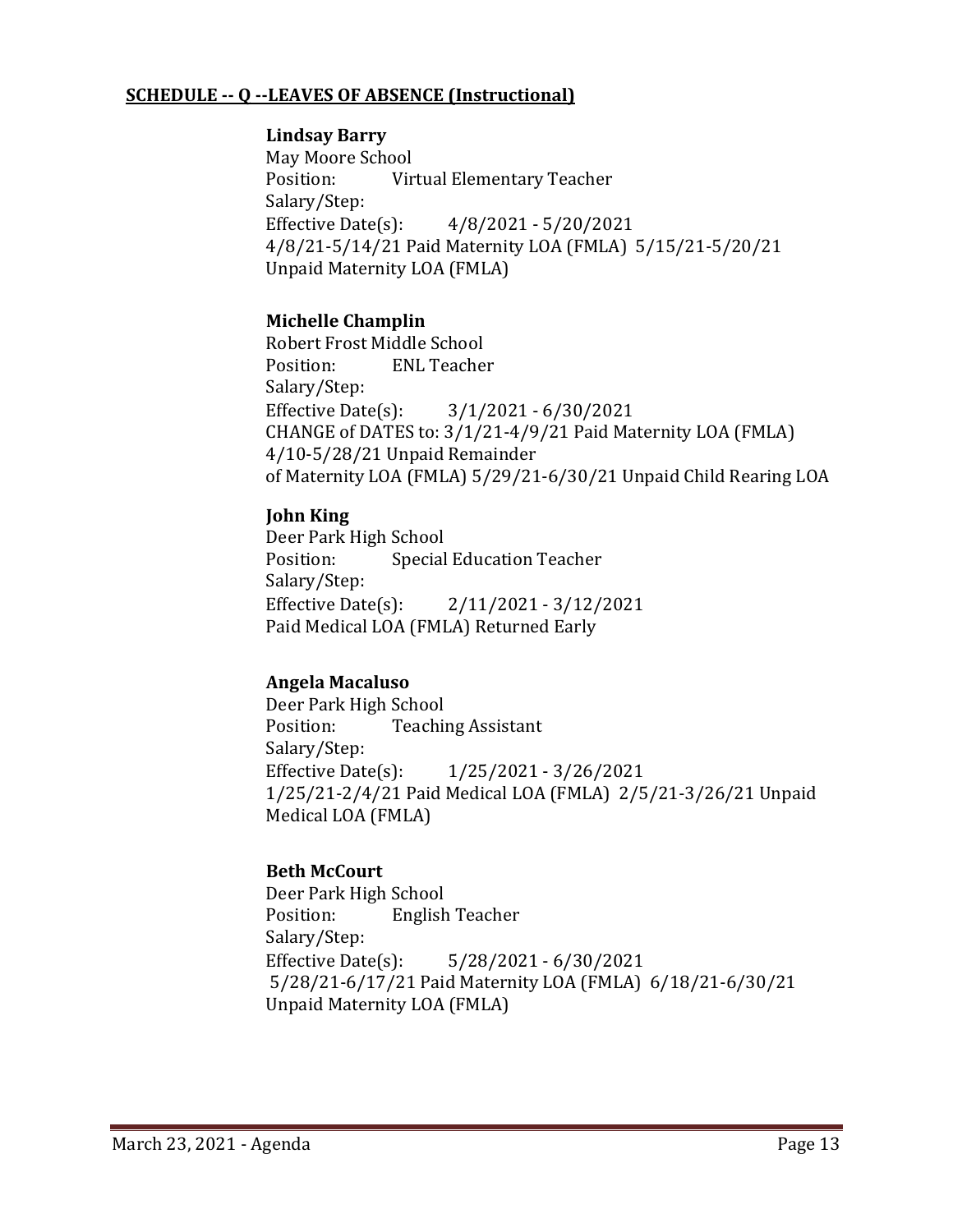#### **SCHEDULE -- Q --LEAVES OF ABSENCE (Instructional)**

#### **Lindsay Barry**

May Moore School<br>Position: Vir Virtual Elementary Teacher Salary/Step:<br>Effective Date(s):  $4/8/2021 - 5/20/2021$ 4/8/21-5/14/21 Paid Maternity LOA (FMLA) 5/15/21-5/20/21 Unpaid Maternity LOA (FMLA)

## **Michelle Champlin**

Robert Frost Middle School<br>Position: ENL Teacher **ENL Teacher** Salary/Step:<br>Effective Date(s): Effective Date(s): 3/1/2021 - 6/30/2021 CHANGE of DATES to: 3/1/21-4/9/21 Paid Maternity LOA (FMLA) 4/10-5/28/21 Unpaid Remainder of Maternity LOA (FMLA) 5/29/21-6/30/21 Unpaid Child Rearing LOA

#### **John King**

Deer Park High School<br>Position: Special **Special Education Teacher** Salary/Step:<br>Effective Date(s): Effective Date(s): 2/11/2021 - 3/12/2021 Paid Medical LOA (FMLA) Returned Early

## **Angela Macaluso**

Deer Park High School<br>Position: Teachii **Teaching Assistant** Salary/Step:<br>Effective Date(s): Effective Date(s): 1/25/2021 - 3/26/2021 1/25/21-2/4/21 Paid Medical LOA (FMLA) 2/5/21-3/26/21 Unpaid Medical LOA (FMLA)

## **Beth McCourt**

Deer Park High School<br>Position: English **English Teacher** Salary/Step:<br>Effective Date(s): Effective Date(s): 5/28/2021 - 6/30/2021 5/28/21-6/17/21 Paid Maternity LOA (FMLA) 6/18/21-6/30/21 Unpaid Maternity LOA (FMLA)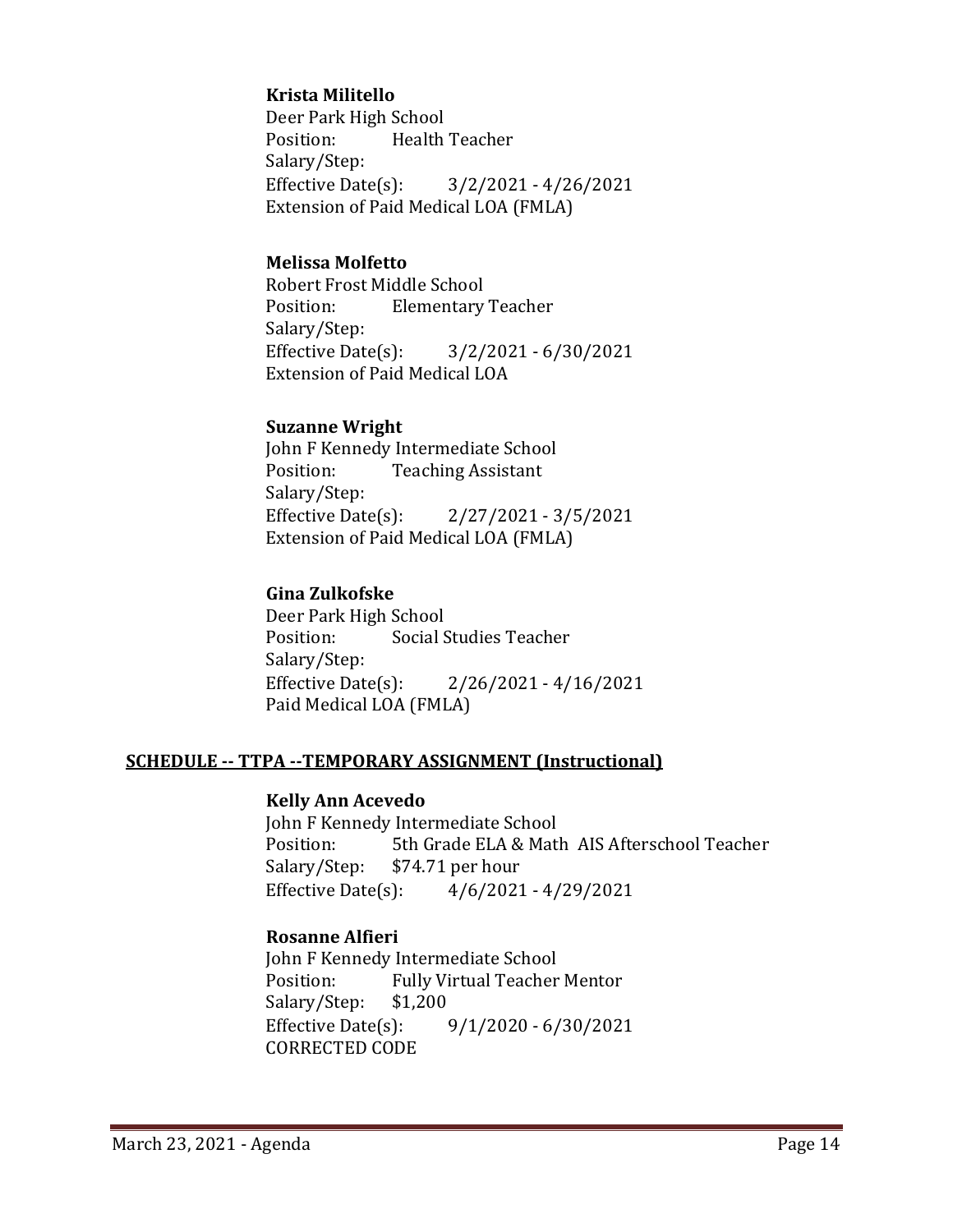## **Krista Militello**

Deer Park High School<br>Position: Health Health Teacher Salary/Step:<br>Effective Date(s): Effective Date(s): 3/2/2021 - 4/26/2021 Extension of Paid Medical LOA (FMLA)

#### **Melissa Molfetto**

Robert Frost Middle School **Elementary Teacher** Salary/Step:<br>Effective Date(s):  $3/2/2021 - 6/30/2021$ Extension of Paid Medical LOA

#### **Suzanne Wright**

John F Kennedy Intermediate School<br>Position: Teaching Assistant **Teaching Assistant** Salary/Step: Effective Date(s): 2/27/2021 - 3/5/2021 Extension of Paid Medical LOA (FMLA)

## **Gina Zulkofske**

Deer Park High School<br>Position: Social S Social Studies Teacher Salary/Step: Effective Date(s): 2/26/2021 - 4/16/2021 Paid Medical LOA (FMLA)

#### **SCHEDULE -- TTPA --TEMPORARY ASSIGNMENT (Instructional)**

#### **Kelly Ann Acevedo**

John F Kennedy Intermediate School<br>Position: 5th Grade ELA & Matl Position: 5th Grade ELA & Math AIS Afterschool Teacher<br>Salary/Step: \$74.71 per hour Salary/Step: \$74.71 per hour<br>Effective Date(s): 4/6/2021  $4/6/2021 - 4/29/2021$ 

## **Rosanne Alfieri**

John F Kennedy Intermediate School<br>Position: Fully Virtual Teacher Fully Virtual Teacher Mentor<br>\$1,200 Salary/Step: \$1,<br>Effective Date(s):  $9/1/2020 - 6/30/2021$ CORRECTED CODE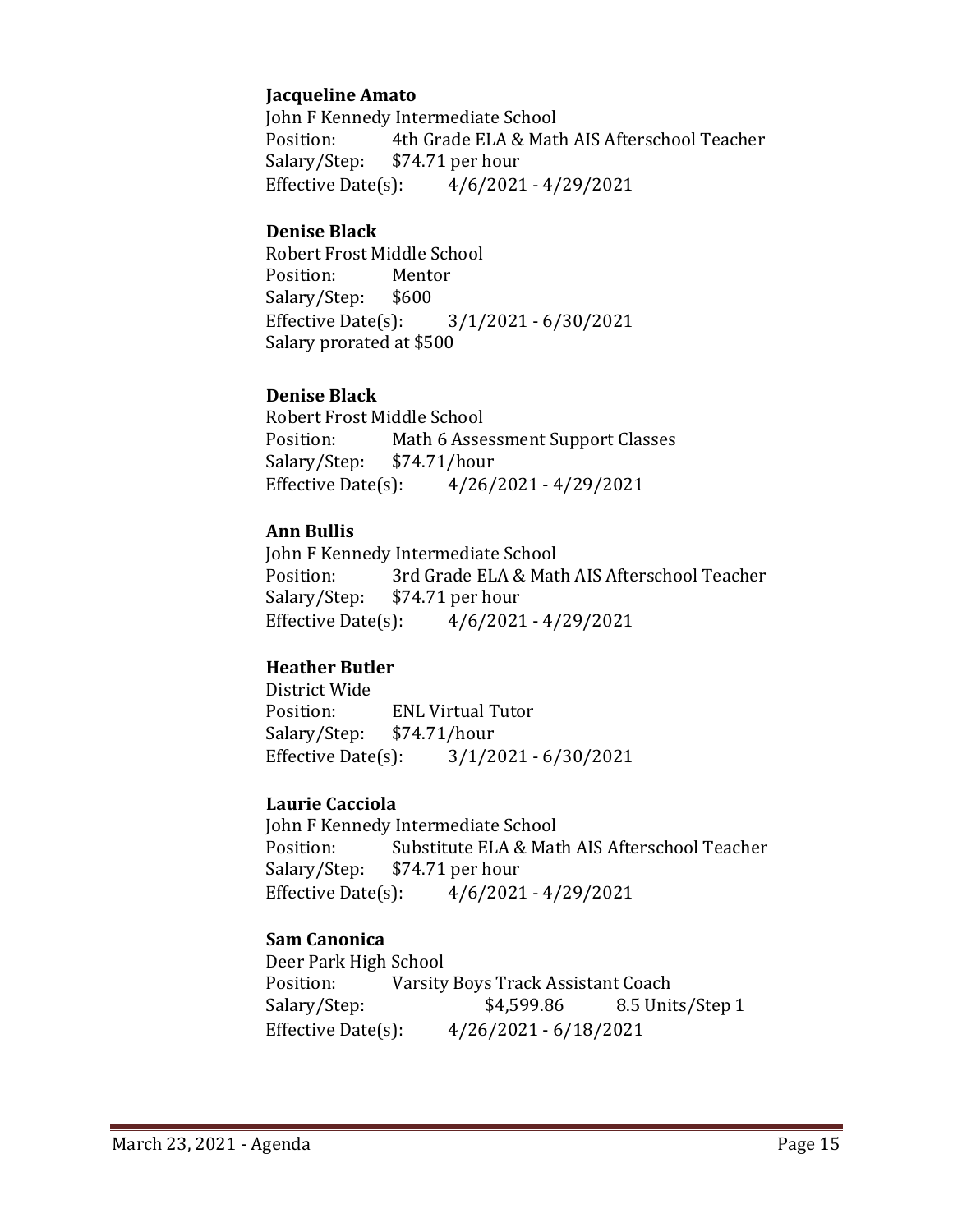#### **Jacqueline Amato**

John F Kennedy Intermediate School<br>Position: 4th Grade ELA & Matl Position: 4th Grade ELA & Math AIS Afterschool Teacher<br>Salary/Step: \$74.71 per hour  $$74.71$  per hour Effective Date(s): 4/6/2021 - 4/29/2021

#### **Denise Black**

Robert Frost Middle School<br>Position: Mentor Position: Mento<br>Salary/Step: \$600 Salary/Step: \$6<br>Effective Date(s): Effective Date(s): 3/1/2021 - 6/30/2021 Salary prorated at \$500

## **Denise Black**

Robert Frost Middle School<br>Position: Math 6 Asse Math 6 Assessment Support Classes<br>\$74.71/hour Salary/Step: Effective Date(s): 4/26/2021 - 4/29/2021

## **Ann Bullis**

John F Kennedy Intermediate School<br>Position: 3rd Grade ELA & Mat Position: 3rd Grade ELA & Math AIS Afterschool Teacher<br>Salary/Step: \$74.71 per hour Salary/Step: \$74.71 per hour<br>Effective Date(s): 4/6/2021  $4/6/2021 - 4/29/2021$ 

## **Heather Butler**

District Wide ENL Virtual Tutor<br>\$74.71/hour Salary/Step: Effective Date(s): 3/1/2021 - 6/30/2021

#### **Laurie Cacciola**

John F Kennedy Intermediate School<br>Position: Substitute ELA & Mat Position: Substitute ELA & Math AIS Afterschool Teacher<br>Salary/Step: \$74.71 per hour Salary/Step: \$74.71 per hour<br>Effective Date(s): 4/6/2021  $4/6/2021 - 4/29/2021$ 

## **Sam Canonica**

Deer Park High School<br>Position: Varsity Position: Varsity Boys Track Assistant Coach<br>Salary/Step: \$4,599.86 8.5 Unit Salary/Step: \$4,599.86 8.5 Units/Step 1<br>Effective Date(s): 4/26/2021 - 6/18/2021 Effective Date(s): 4/26/2021 - 6/18/2021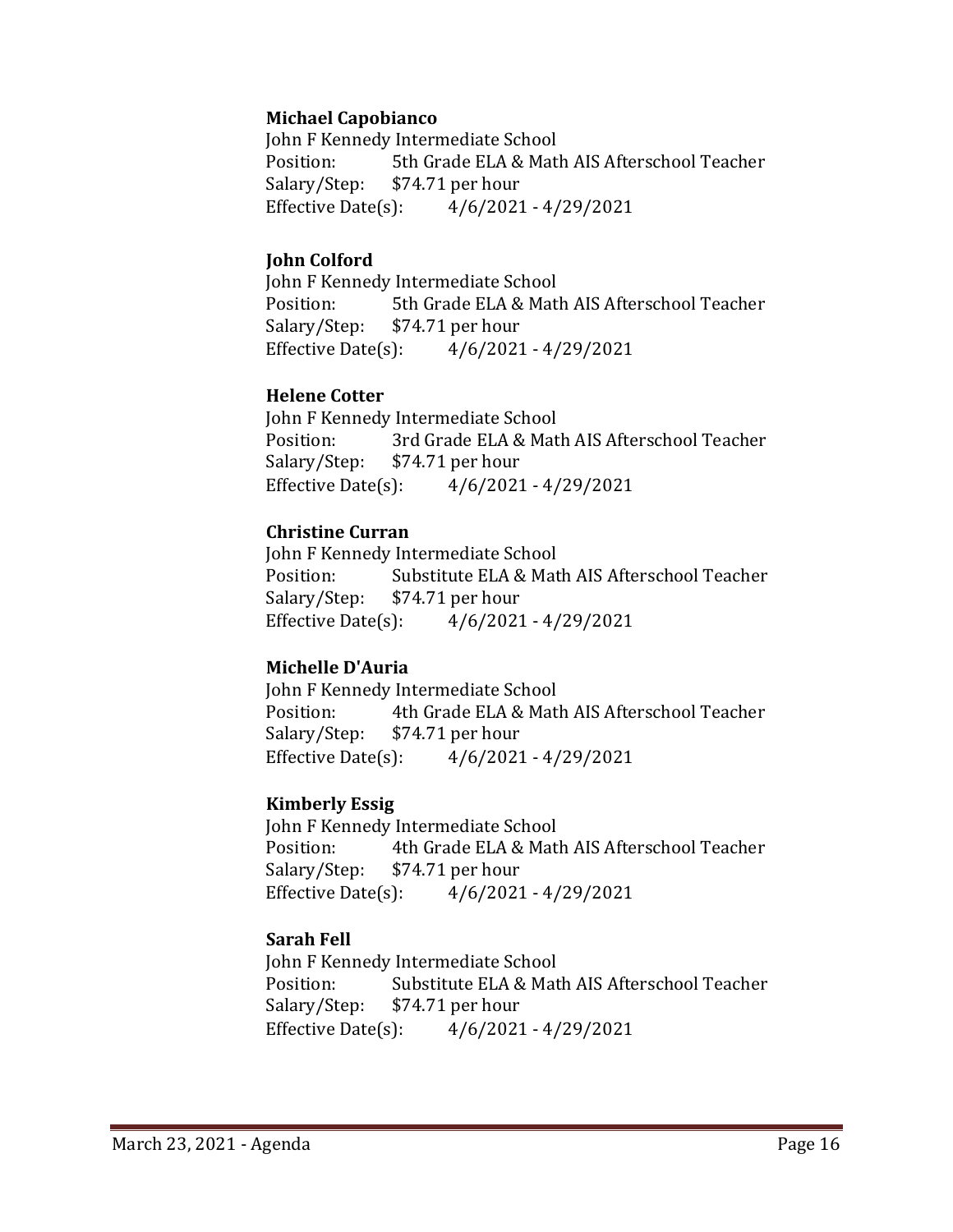#### **Michael Capobianco**

John F Kennedy Intermediate School<br>Position: 5th Grade ELA & Mat 5th Grade ELA & Math AIS Afterschool Teacher Salary/Step: \$74.71 per hour Effective Date(s): 4/6/2021 - 4/29/2021

#### **John Colford**

John F Kennedy Intermediate School<br>Position: 5th Grade ELA & Mat Position: 5th Grade ELA & Math AIS Afterschool Teacher<br>Salary/Step: \$74.71 per hour  $$74.71$  per hour Effective Date(s): 4/6/2021 - 4/29/2021

#### **Helene Cotter**

John F Kennedy Intermediate School Position: 3rd Grade ELA & Math AIS Afterschool Teacher<br>Salary/Step: \$74.71 per hour Salary/Step: \$74.71 per hour<br>Effective Date(s): 4/6/2021  $4/6/2021 - 4/29/2021$ 

## **Christine Curran**

John F Kennedy Intermediate School<br>Position: Substitute ELA & Mat Position: Substitute ELA & Math AIS Afterschool Teacher<br>Salary/Step: \$74.71 per hour  $$74.71$  per hour Effective Date(s): 4/6/2021 - 4/29/2021

#### **Michelle D'Auria**

John F Kennedy Intermediate School<br>Position: 4th Grade ELA & Mat Position: 4th Grade ELA & Math AIS Afterschool Teacher<br>Salary/Step: \$74.71 per hour Salary/Step: \$74.71 per hour<br>Effective Date(s): 4/6/2021  $4/6/2021 - 4/29/2021$ 

## **Kimberly Essig**

John F Kennedy Intermediate School<br>Position: 4th Grade ELA & Mat 4th Grade ELA & Math AIS Afterschool Teacher Salary/Step: \$74.71 per hour Effective Date(s): 4/6/2021 - 4/29/2021

## **Sarah Fell**

John F Kennedy Intermediate School<br>Position: Substitute ELA & Mat Position: Substitute ELA & Math AIS Afterschool Teacher<br>Salary/Step: \$74.71 per hour Salary/Step: \$74.71 per hour<br>Effective Date(s): 4/6/2021  $4/6/2021 - 4/29/2021$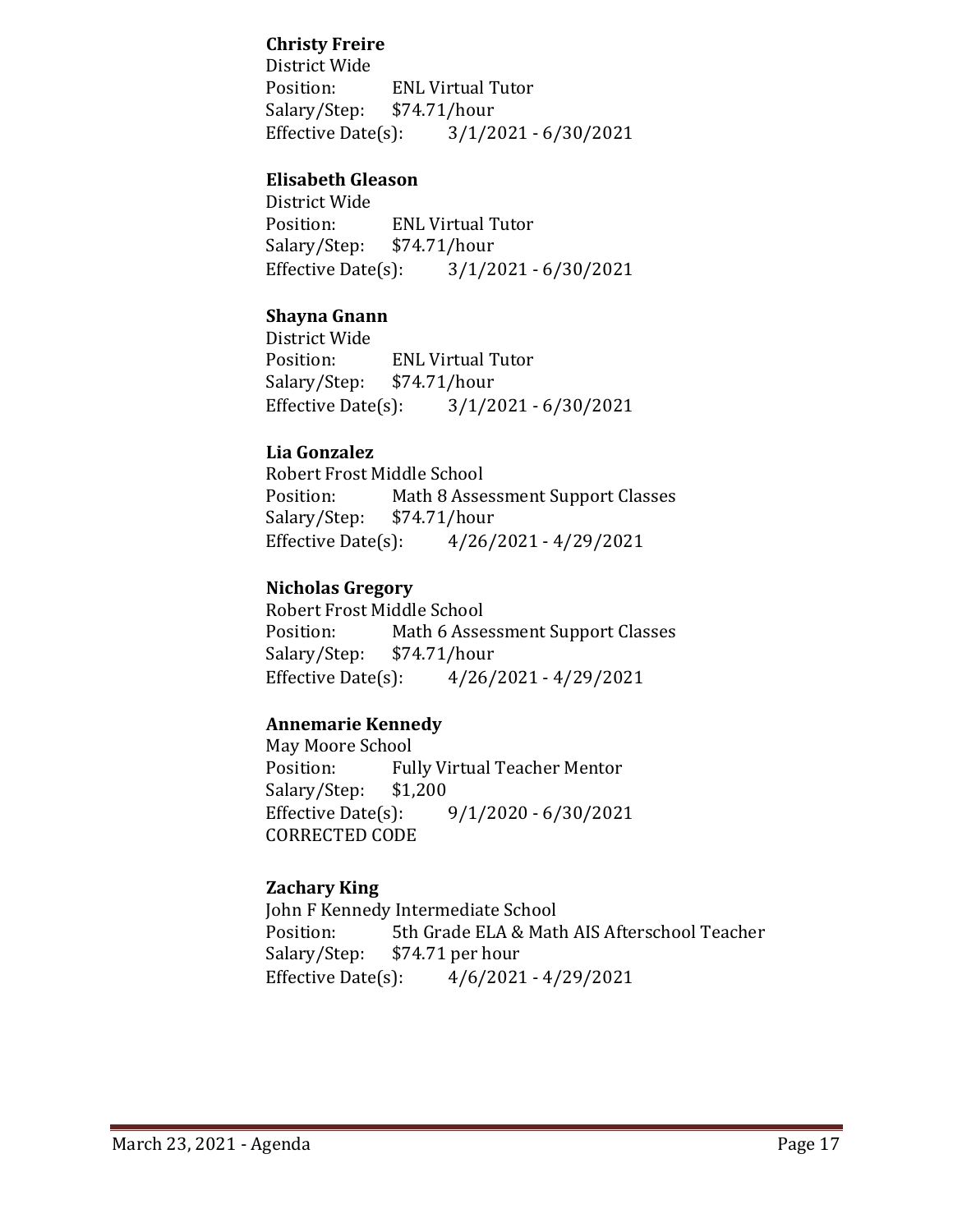## **Christy Freire**

District Wide ENL Virtual Tutor<br>\$74.71/hour Salary/Step: Effective Date(s): 3/1/2021 - 6/30/2021

#### **Elisabeth Gleason**

District Wide ENL Virtual Tutor<br>\$74.71/hour Salary/Step: \$7<br>Effective Date(s):  $3/1/2021 - 6/30/2021$ 

## **Shayna Gnann**

District Wide ENL Virtual Tutor<br>\$74.71/hour Salary/Step: \$7<br>Effective Date(s): Effective Date(s): 3/1/2021 - 6/30/2021

#### **Lia Gonzalez**

Robert Frost Middle School<br>Position: Math 8 Asse Math 8 Assessment Support Classes<br>\$74.71/hour Salary/Step: \$7<br>Effective Date(s): Effective Date(s): 4/26/2021 - 4/29/2021

#### **Nicholas Gregory**

Robert Frost Middle School<br>Position: Math 6 Asse Math 6 Assessment Support Classes<br>\$74.71/hour Salary/Step: \$7<br>Effective Date(s): Effective Date(s): 4/26/2021 - 4/29/2021

#### **Annemarie Kennedy**

May Moore School<br>Position: Ful Fully Virtual Teacher Mentor<br>\$1,200 Salary/Step: \$1<br>Effective Date(s):  $9/1/2020 - 6/30/2021$ CORRECTED CODE

#### **Zachary King**

John F Kennedy Intermediate School<br>Position: 5th Grade ELA & Matl Position: 5th Grade ELA & Math AIS Afterschool Teacher<br>Salary/Step: \$74.71 per hour Salary/Step: \$74.71 per hour<br>Effective Date(s): 4/6/2021  $4/6/2021 - 4/29/2021$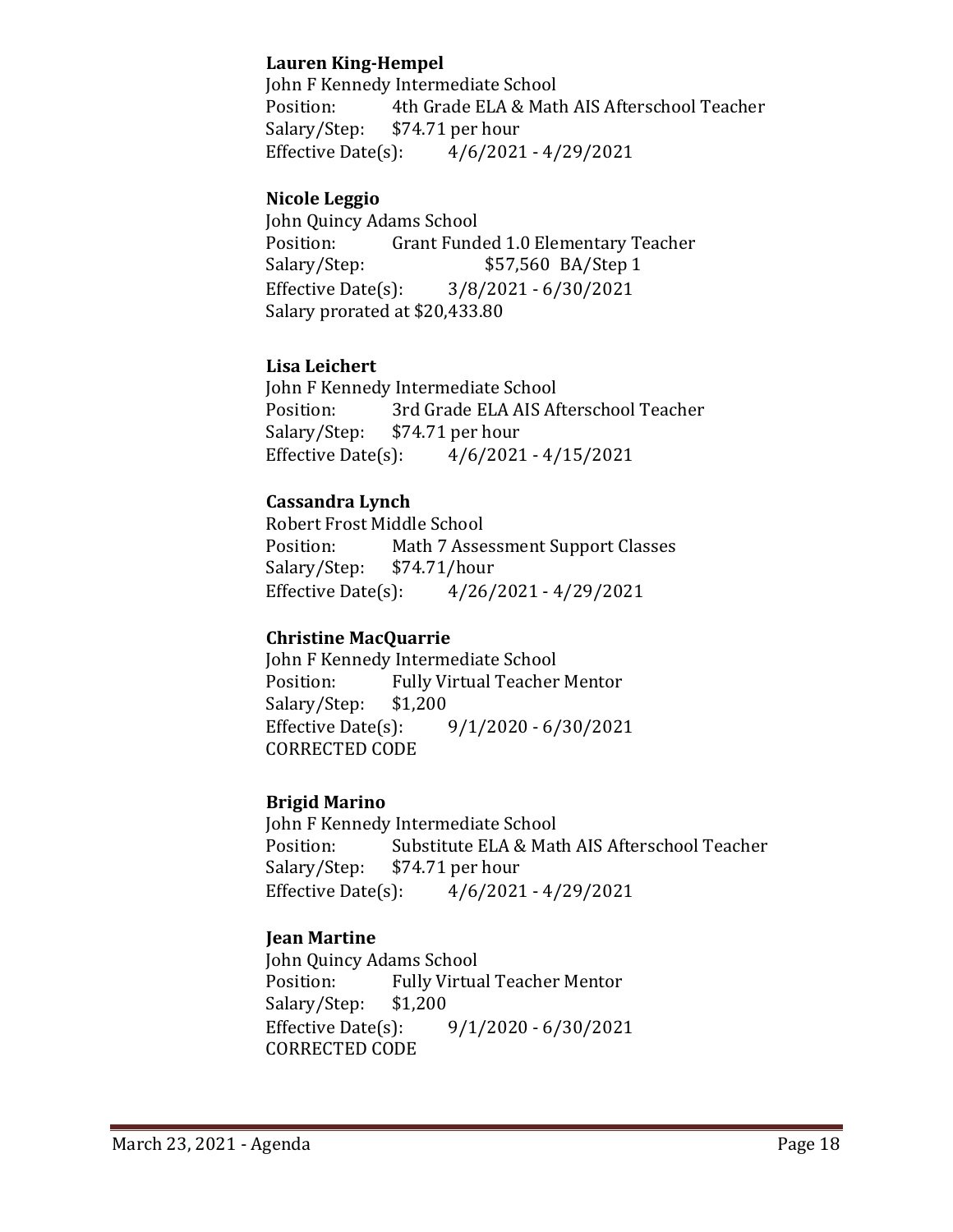## **Lauren King-Hempel**

John F Kennedy Intermediate School<br>Position: 4th Grade ELA & Matl Position: 4th Grade ELA & Math AIS Afterschool Teacher<br>Salary/Step: \$74.71 per hour Salary/Step: \$74.71 per hour<br>Effective Date(s): 4/6/2021  $4/6/2021 - 4/29/2021$ 

## **Nicole Leggio**

John Quincy Adams School Position: Grant Funded 1.0 Elementary Teacher<br>Salary/Step: \$57,560 BA/Step 1 \$57,560 BA/Step 1 Effective Date(s): 3/8/2021 - 6/30/2021 Salary prorated at \$20,433.80

#### **Lisa Leichert**

John F Kennedy Intermediate School<br>Position: 3rd Grade ELA AIS Af Position: 3rd Grade ELA AIS Afterschool Teacher<br>Salary/Step: \$74.71 per hour Salary/Step: \$74.71 per hour<br>Effective Date(s): 4/6/2021  $4/6/2021 - 4/15/2021$ 

## **Cassandra Lynch**

Robert Frost Middle School<br>Position: Math 7 Asse Math 7 Assessment Support Classes<br>\$74.71/hour Salary/Step: \$7<br>Effective Date(s):  $4/26/2021 - 4/29/2021$ 

## **Christine MacQuarrie**

John F Kennedy Intermediate School<br>Position: Fully Virtual Teacher Fully Virtual Teacher Mentor<br>\$1,200 Salary/Step: \$1,<br>Effective Date(s):  $9/1/2020 - 6/30/2021$ CORRECTED CODE

#### **Brigid Marino**

John F Kennedy Intermediate School<br>Position: Substitute ELA & Mat Position: Substitute ELA & Math AIS Afterschool Teacher<br>Salary/Step: \$74.71 per hour Salary/Step: \$74.71 per hour<br>Effective Date(s): 4/6/2021  $4/6/2021 - 4/29/2021$ 

## **Jean Martine**

John Quincy Adams School<br>Position: Fully Virtua Fully Virtual Teacher Mentor<br>\$1,200 Salary/Step: \$1<br>Effective Date(s):  $9/1/2020 - 6/30/2021$ CORRECTED CODE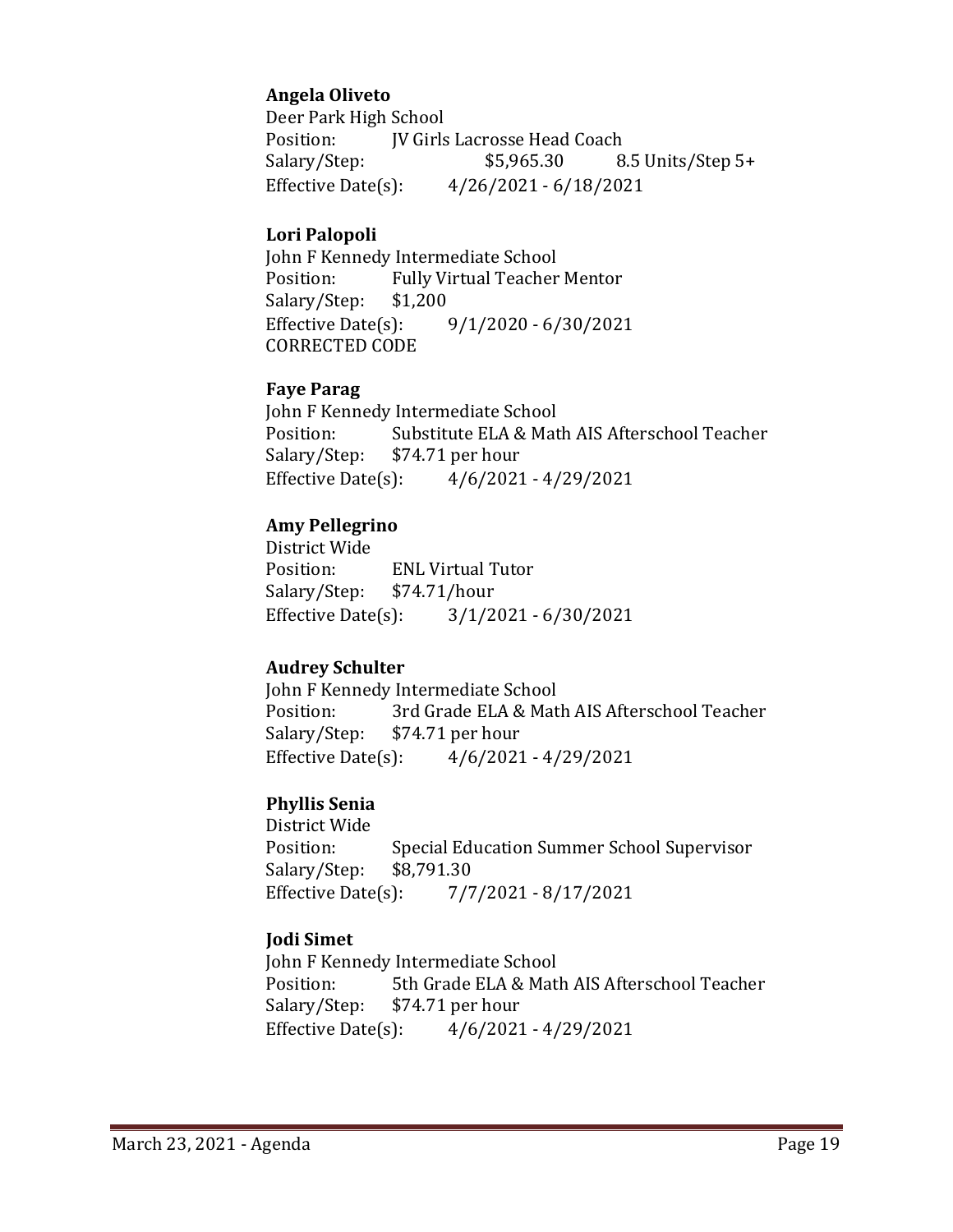## **Angela Oliveto**

Deer Park High School<br>Position: **IV Girls** Position: JV Girls Lacrosse Head Coach<br>Salary/Step: \$5,965.30 8 8.5 Units/Step 5+ Effective Date(s): 4/26/2021 - 6/18/2021

#### **Lori Palopoli**

John F Kennedy Intermediate School<br>Position: Fully Virtual Teacher Fully Virtual Teacher Mentor<br>\$1,200 Salary/Step: Effective Date(s): 9/1/2020 - 6/30/2021 CORRECTED CODE

#### **Faye Parag**

John F Kennedy Intermediate School<br>Position: Substitute ELA & Mat Position: Substitute ELA & Math AIS Afterschool Teacher<br>Salary/Step: \$74.71 per hour Salary/Step: \$74.71 per hour<br>Effective Date(s): 4/6/2021  $4/6/2021 - 4/29/2021$ 

## **Amy Pellegrino**

District Wide ENL Virtual Tutor<br>\$74.71/hour Salary/Step: \$7<br>Effective Date(s): Effective Date(s): 3/1/2021 - 6/30/2021

#### **Audrey Schulter**

John F Kennedy Intermediate School<br>Position: 3rd Grade ELA & Mat Position: 3rd Grade ELA & Math AIS Afterschool Teacher<br>Salary/Step: \$74.71 per hour Salary/Step: \$74.71 per hour<br>Effective Date(s): 4/6/2021  $4/6/2021 - 4/29/2021$ 

#### **Phyllis Senia**

District Wide Special Education Summer School Supervisor \$8,791.30 Salary/Step: Effective Date(s): 7/7/2021 - 8/17/2021

#### **Jodi Simet**

John F Kennedy Intermediate School<br>Position: 5th Grade ELA & Matl Position: 5th Grade ELA & Math AIS Afterschool Teacher<br>Salary/Step: \$74.71 per hour Salary/Step: \$74.71 per hour<br>Effective Date(s): 4/6/2021  $4/6/2021 - 4/29/2021$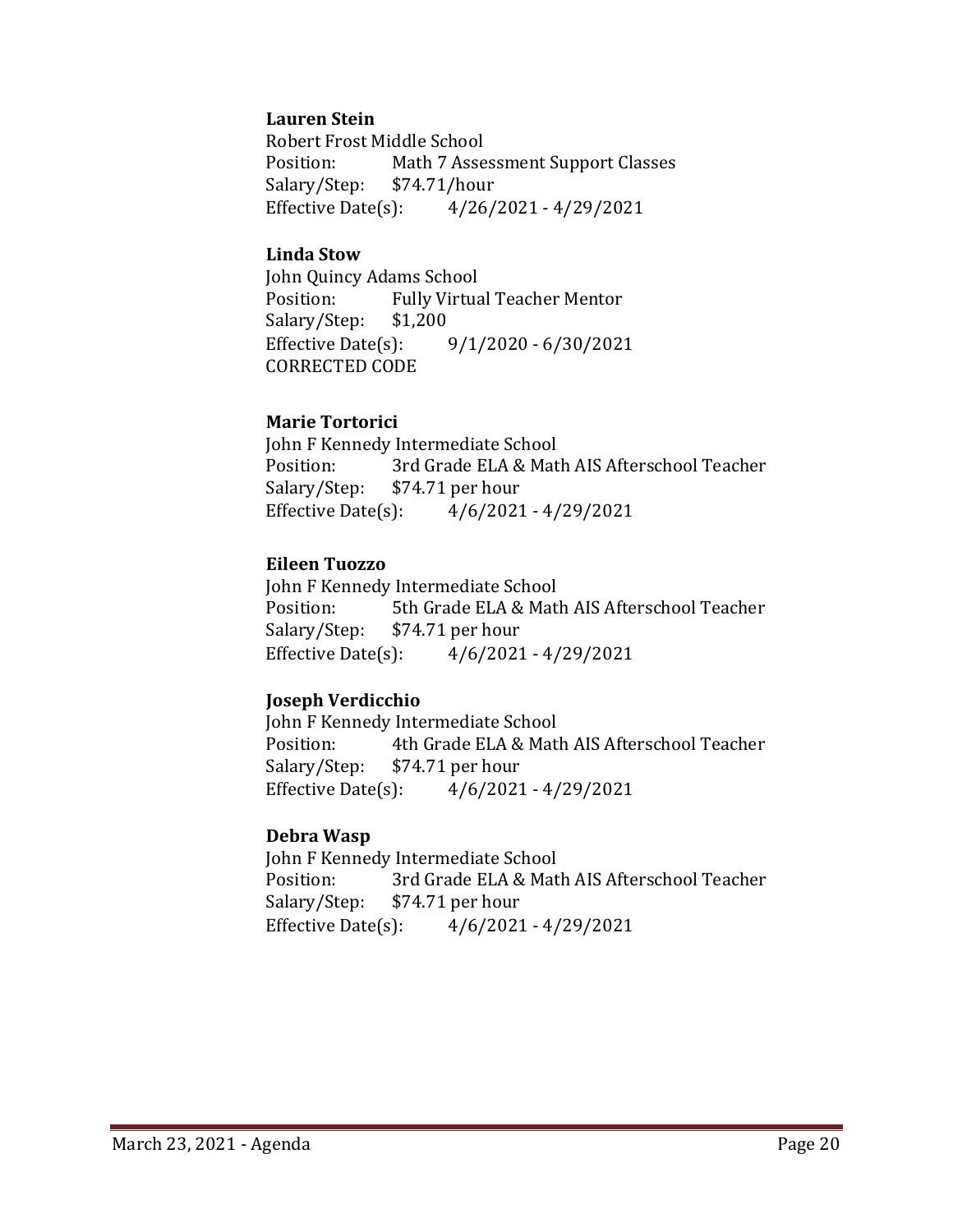#### **Lauren Stein**

Robert Frost Middle School Math 7 Assessment Support Classes<br>\$74.71/hour Salary/Step: Effective Date(s): 4/26/2021 - 4/29/2021

#### **Linda Stow**

John Quincy Adams School Fully Virtual Teacher Mentor<br>\$1,200 Salary/Step: \$1<br>Effective Date(s):  $9/1/2020 - 6/30/2021$ CORRECTED CODE

#### **Marie Tortorici**

John F Kennedy Intermediate School<br>Position: 3rd Grade ELA & Mat Position: 3rd Grade ELA & Math AIS Afterschool Teacher<br>Salary/Step: \$74.71 per hour Salary/Step: \$74.71 per hour<br>Effective Date(s): 4/6/2021  $4/6/2021 - 4/29/2021$ 

#### **Eileen Tuozzo**

John F Kennedy Intermediate School<br>Position: 5th Grade ELA & Matl Position: 5th Grade ELA & Math AIS Afterschool Teacher<br>Salary/Step: \$74.71 per hour Salary/Step: \$74.71 per hour<br>Effective Date(s): 4/6/2021  $4/6/2021 - 4/29/2021$ 

#### **Joseph Verdicchio**

John F Kennedy Intermediate School<br>Position: 4th Grade ELA & Matl Position: 4th Grade ELA & Math AIS Afterschool Teacher<br>Salary/Step: \$74.71 per hour  $$74.71$  per hour Effective Date(s): 4/6/2021 - 4/29/2021

#### **Debra Wasp**

John F Kennedy Intermediate School<br>Position: 3rd Grade ELA & Mat Position: 3rd Grade ELA & Math AIS Afterschool Teacher<br>Salary/Step: \$74.71 per hour Salary/Step: \$74.71 per hour<br>Effective Date(s): 4/6/2021  $4/6/2021 - 4/29/2021$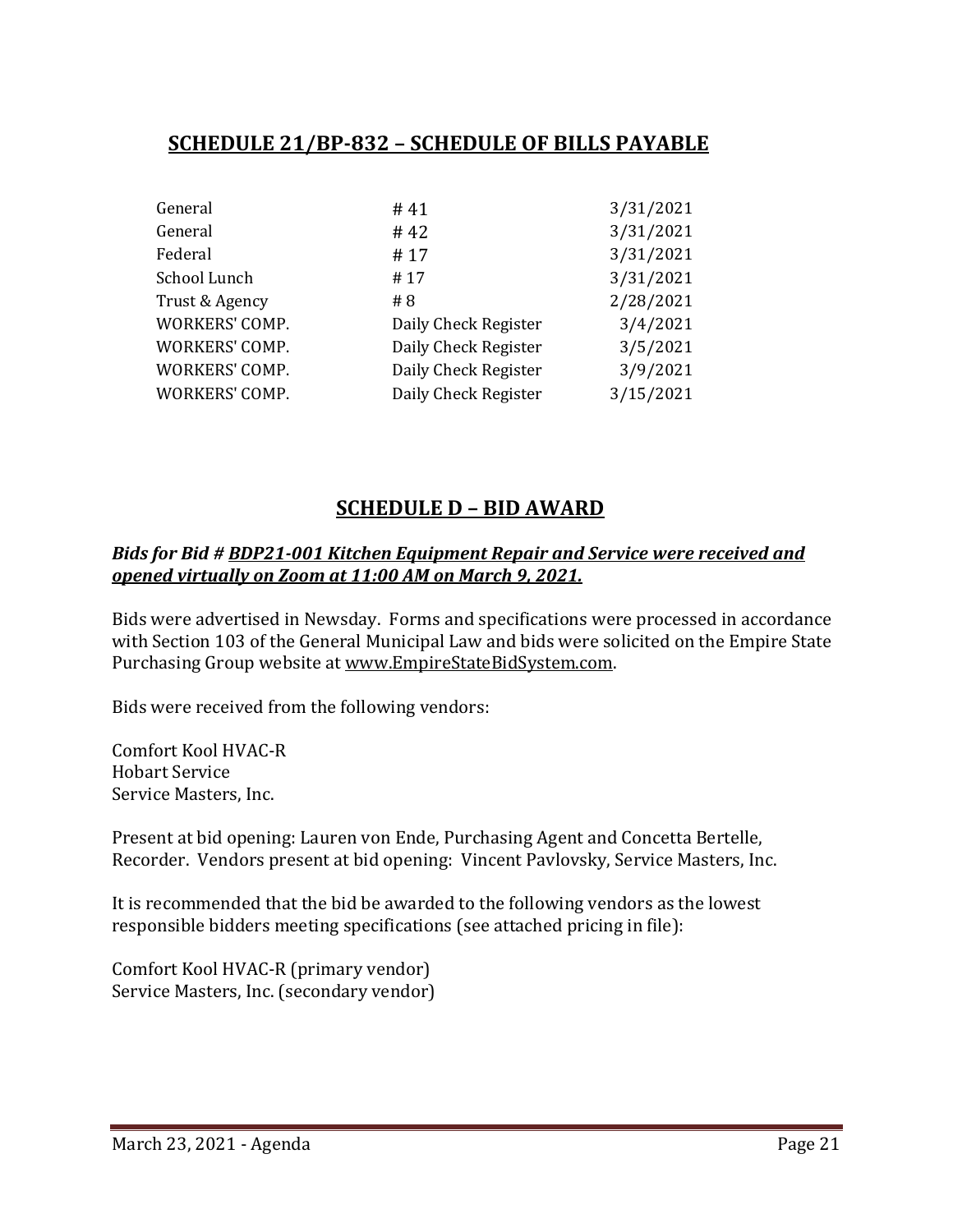# **SCHEDULE 21/BP-832 – SCHEDULE OF BILLS PAYABLE**

| General        | #41                  | 3/31/2021 |
|----------------|----------------------|-----------|
| General        | # 42                 | 3/31/2021 |
| Federal        | #17                  | 3/31/2021 |
| School Lunch   | #17                  | 3/31/2021 |
| Trust & Agency | # $8$                | 2/28/2021 |
| WORKERS' COMP. | Daily Check Register | 3/4/2021  |
| WORKERS' COMP. | Daily Check Register | 3/5/2021  |
| WORKERS' COMP. | Daily Check Register | 3/9/2021  |
| WORKERS' COMP. | Daily Check Register | 3/15/2021 |
|                |                      |           |

## **SCHEDULE D – BID AWARD**

#### *Bids for Bid # BDP21-001 Kitchen Equipment Repair and Service were received and opened virtually on Zoom at 11:00 AM on March 9, 2021.*

Bids were advertised in Newsday. Forms and specifications were processed in accordance with Section 103 of the General Municipal Law and bids were solicited on the Empire State Purchasing Group website at [www.EmpireStateBidSystem.com.](http://www.empirestatebidsystem.com/)

Bids were received from the following vendors:

Comfort Kool HVAC-R Hobart Service Service Masters, Inc.

Present at bid opening: Lauren von Ende, Purchasing Agent and Concetta Bertelle, Recorder. Vendors present at bid opening: Vincent Pavlovsky, Service Masters, Inc.

It is recommended that the bid be awarded to the following vendors as the lowest responsible bidders meeting specifications (see attached pricing in file):

Comfort Kool HVAC-R (primary vendor) Service Masters, Inc. (secondary vendor)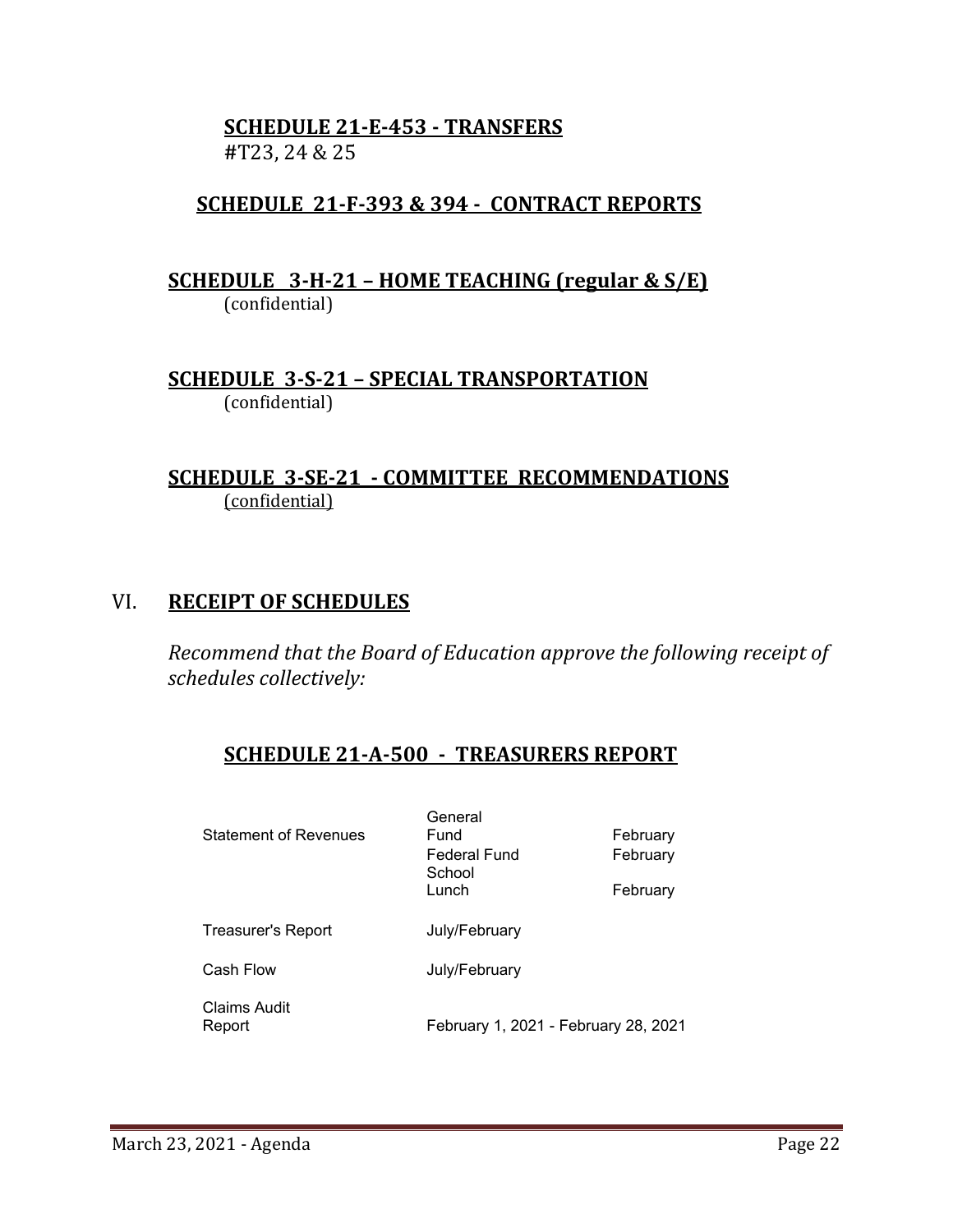## **SCHEDULE 21-E-453 - TRANSFERS #**T23, 24 & 25

# **SCHEDULE 21-F-393 & 394 - CONTRACT REPORTS**

## **SCHEDULE 3-H-21 – HOME TEACHING (regular & S/E)**  (confidential)

## **SCHEDULE 3-S-21 – SPECIAL TRANSPORTATION**  (confidential)

## **SCHEDULE 3-SE-21 - COMMITTEE RECOMMENDATIONS** (confidential)

## VI. **RECEIPT OF SCHEDULES**

*Recommend that the Board of Education approve the following receipt of schedules collectively:*

## **SCHEDULE 21-A-500 - TREASURERS REPORT**

| Statement of Revenues  | General<br>Fund<br><b>Federal Fund</b><br>School<br>Lunch | February<br>February<br>February |
|------------------------|-----------------------------------------------------------|----------------------------------|
| Treasurer's Report     | July/February                                             |                                  |
| Cash Flow              | July/February                                             |                                  |
| Claims Audit<br>Report | February 1, 2021 - February 28, 2021                      |                                  |